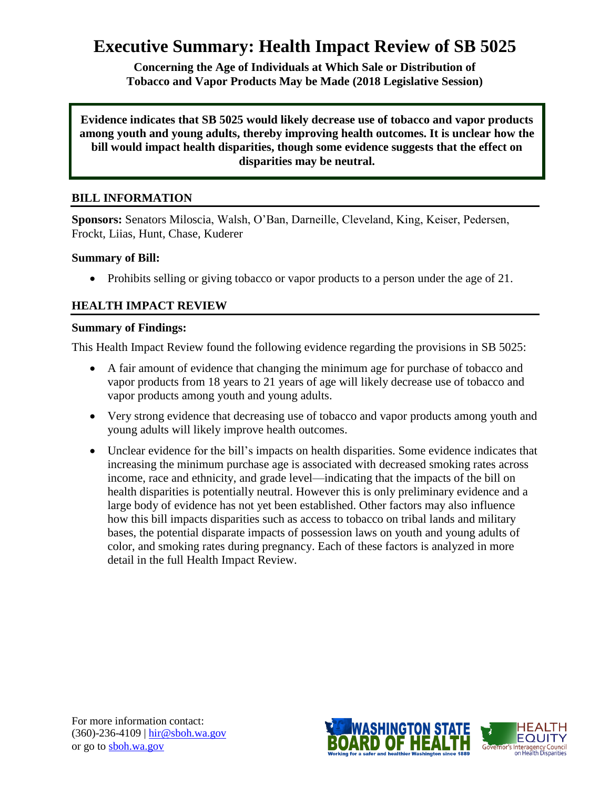# **Executive Summary: Health Impact Review of SB 5025**

**Concerning the Age of Individuals at Which Sale or Distribution of Tobacco and Vapor Products May be Made (2018 Legislative Session)**

**Evidence indicates that SB 5025 would likely decrease use of tobacco and vapor products among youth and young adults, thereby improving health outcomes. It is unclear how the bill would impact health disparities, though some evidence suggests that the effect on disparities may be neutral.**

# **BILL INFORMATION**

**Sponsors:** Senators Miloscia, Walsh, O'Ban, Darneille, Cleveland, King, Keiser, Pedersen, Frockt, Liias, Hunt, Chase, Kuderer

#### **Summary of Bill:**

• Prohibits selling or giving tobacco or vapor products to a person under the age of 21.

# **HEALTH IMPACT REVIEW**

#### **Summary of Findings:**

This Health Impact Review found the following evidence regarding the provisions in SB 5025:

- A fair amount of evidence that changing the minimum age for purchase of tobacco and vapor products from 18 years to 21 years of age will likely decrease use of tobacco and vapor products among youth and young adults.
- Very strong evidence that decreasing use of tobacco and vapor products among youth and young adults will likely improve health outcomes.
- Unclear evidence for the bill's impacts on health disparities. Some evidence indicates that increasing the minimum purchase age is associated with decreased smoking rates across income, race and ethnicity, and grade level—indicating that the impacts of the bill on health disparities is potentially neutral. However this is only preliminary evidence and a large body of evidence has not yet been established. Other factors may also influence how this bill impacts disparities such as access to tobacco on tribal lands and military bases, the potential disparate impacts of possession laws on youth and young adults of color, and smoking rates during pregnancy. Each of these factors is analyzed in more detail in the full Health Impact Review.

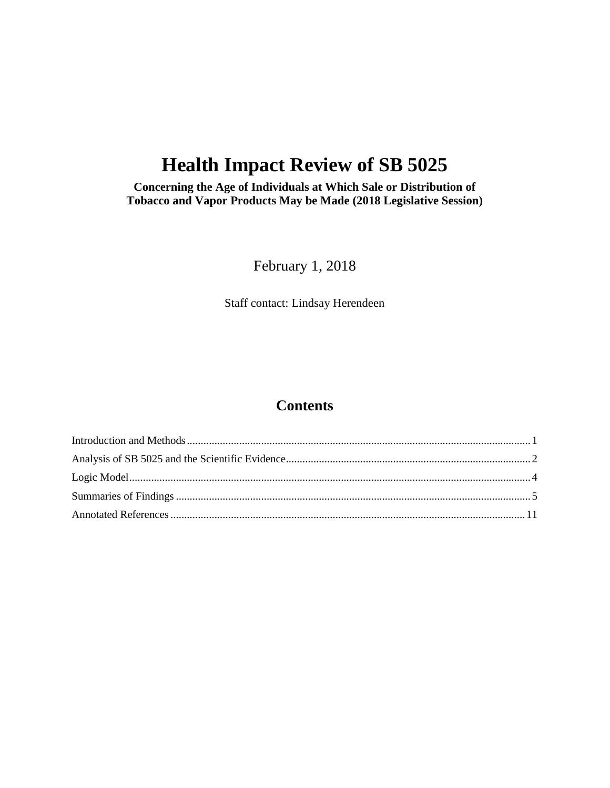# **Health Impact Review of SB 5025**

**Concerning the Age of Individuals at Which Sale or Distribution of Tobacco and Vapor Products May be Made (2018 Legislative Session)**

February 1, 2018

Staff contact: Lindsay Herendeen

# **Contents**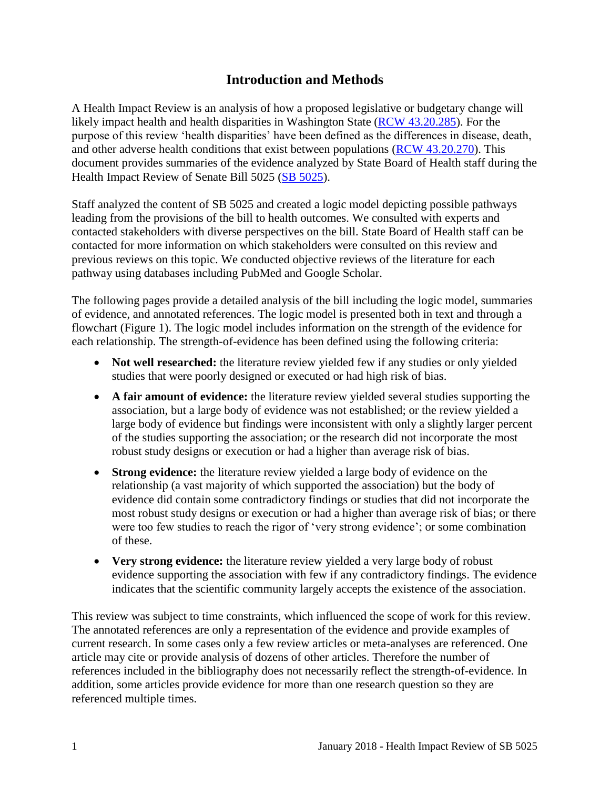# **Introduction and Methods**

<span id="page-2-0"></span>A Health Impact Review is an analysis of how a proposed legislative or budgetary change will likely impact health and health disparities in Washington State [\(RCW 43.20.285\)](http://apps.leg.wa.gov/rcw/default.aspx?cite=43.20.285). For the purpose of this review 'health disparities' have been defined as the differences in disease, death, and other adverse health conditions that exist between populations [\(RCW 43.20.270\)](http://apps.leg.wa.gov/rcw/default.aspx?cite=43.20.270). This document provides summaries of the evidence analyzed by State Board of Health staff during the Health Impact Review of Senate Bill 5025 [\(SB 5025\)](http://app.leg.wa.gov/billsummary?BillNumber=5025&Year=2017).

Staff analyzed the content of SB 5025 and created a logic model depicting possible pathways leading from the provisions of the bill to health outcomes. We consulted with experts and contacted stakeholders with diverse perspectives on the bill. State Board of Health staff can be contacted for more information on which stakeholders were consulted on this review and previous reviews on this topic. We conducted objective reviews of the literature for each pathway using databases including PubMed and Google Scholar.

The following pages provide a detailed analysis of the bill including the logic model, summaries of evidence, and annotated references. The logic model is presented both in text and through a flowchart (Figure 1). The logic model includes information on the strength of the evidence for each relationship. The strength-of-evidence has been defined using the following criteria:

- Not well researched: the literature review yielded few if any studies or only yielded studies that were poorly designed or executed or had high risk of bias.
- **A fair amount of evidence:** the literature review yielded several studies supporting the association, but a large body of evidence was not established; or the review yielded a large body of evidence but findings were inconsistent with only a slightly larger percent of the studies supporting the association; or the research did not incorporate the most robust study designs or execution or had a higher than average risk of bias.
- **Strong evidence:** the literature review yielded a large body of evidence on the relationship (a vast majority of which supported the association) but the body of evidence did contain some contradictory findings or studies that did not incorporate the most robust study designs or execution or had a higher than average risk of bias; or there were too few studies to reach the rigor of 'very strong evidence'; or some combination of these.
- **Very strong evidence:** the literature review yielded a very large body of robust evidence supporting the association with few if any contradictory findings. The evidence indicates that the scientific community largely accepts the existence of the association.

This review was subject to time constraints, which influenced the scope of work for this review. The annotated references are only a representation of the evidence and provide examples of current research. In some cases only a few review articles or meta-analyses are referenced. One article may cite or provide analysis of dozens of other articles. Therefore the number of references included in the bibliography does not necessarily reflect the strength-of-evidence. In addition, some articles provide evidence for more than one research question so they are referenced multiple times.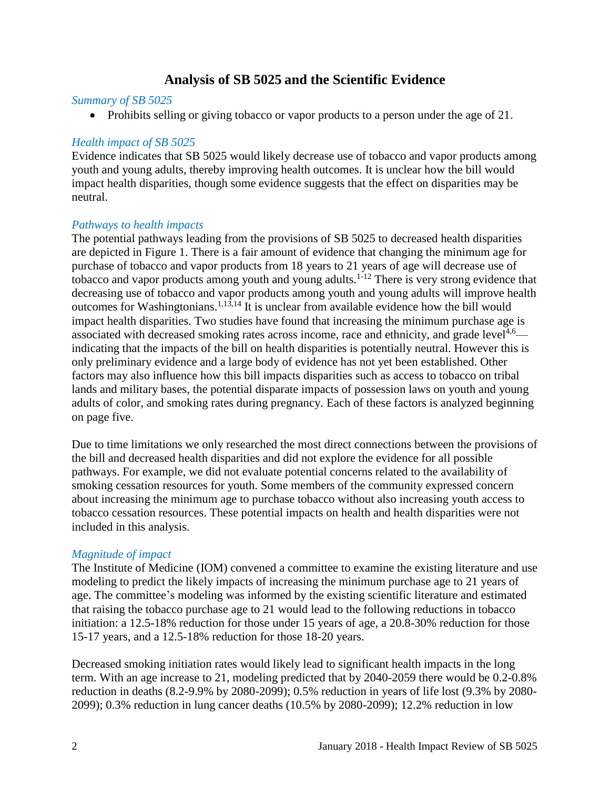# **Analysis of SB 5025 and the Scientific Evidence**

#### <span id="page-3-0"></span>*Summary of SB 5025*

• Prohibits selling or giving tobacco or vapor products to a person under the age of 21.

#### *Health impact of SB 5025*

Evidence indicates that SB 5025 would likely decrease use of tobacco and vapor products among youth and young adults, thereby improving health outcomes. It is unclear how the bill would impact health disparities, though some evidence suggests that the effect on disparities may be neutral.

#### *Pathways to health impacts*

The potential pathways leading from the provisions of SB 5025 to decreased health disparities are depicted in Figure 1. There is a fair amount of evidence that changing the minimum age for purchase of tobacco and vapor products from 18 years to 21 years of age will decrease use of tobacco and vapor products among youth and young adults.<sup>1-12</sup> There is very strong evidence that decreasing use of tobacco and vapor products among youth and young adults will improve health outcomes for Washingtonians.<sup>[1,](#page-12-1)[13,](#page-18-0)[14](#page-18-1)</sup> It is unclear from available evidence how the bill would impact health disparities. Two studies have found that increasing the minimum purchase age is associated with decreased smoking rates across income, race and ethnicity, and grade level<sup>[4,](#page-13-0)[6](#page-14-0)</sup> indicating that the impacts of the bill on health disparities is potentially neutral. However this is only preliminary evidence and a large body of evidence has not yet been established. Other factors may also influence how this bill impacts disparities such as access to tobacco on tribal lands and military bases, the potential disparate impacts of possession laws on youth and young adults of color, and smoking rates during pregnancy. Each of these factors is analyzed beginning on page five.

Due to time limitations we only researched the most direct connections between the provisions of the bill and decreased health disparities and did not explore the evidence for all possible pathways. For example, we did not evaluate potential concerns related to the availability of smoking cessation resources for youth. Some members of the community expressed concern about increasing the minimum age to purchase tobacco without also increasing youth access to tobacco cessation resources. These potential impacts on health and health disparities were not included in this analysis.

#### *Magnitude of impact*

The Institute of Medicine (IOM) convened a committee to examine the existing literature and use modeling to predict the likely impacts of increasing the minimum purchase age to 21 years of age. The committee's modeling was informed by the existing scientific literature and estimated that raising the tobacco purchase age to 21 would lead to the following reductions in tobacco initiation: a 12.5-18% reduction for those under 15 years of age, a 20.8-30% reduction for those 15-17 years, and a 12.5-18% reduction for those 18-20 years.

Decreased smoking initiation rates would likely lead to significant health impacts in the long term. With an age increase to 21, modeling predicted that by 2040-2059 there would be 0.2-0.8% reduction in deaths (8.2-9.9% by 2080-2099); 0.5% reduction in years of life lost (9.3% by 2080- 2099); 0.3% reduction in lung cancer deaths (10.5% by 2080-2099); 12.2% reduction in low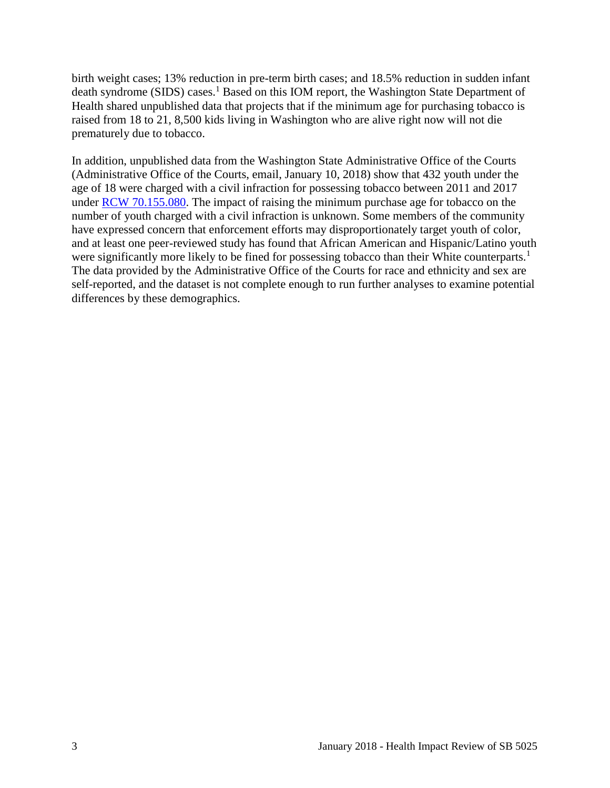birth weight cases; 13% reduction in pre-term birth cases; and 18.5% reduction in sudden infant death syndrome (SIDS) cases.<sup>1</sup> Based on this IOM report, the Washington State Department of Health shared unpublished data that projects that if the minimum age for purchasing tobacco is raised from 18 to 21, 8,500 kids living in Washington who are alive right now will not die prematurely due to tobacco.

In addition, unpublished data from the Washington State Administrative Office of the Courts (Administrative Office of the Courts, email, January 10, 2018) show that 432 youth under the age of 18 were charged with a civil infraction for possessing tobacco between 2011 and 2017 under [RCW 70.155.080.](https://app.leg.wa.gov/rcw/default.aspx?cite=70.155.080) The impact of raising the minimum purchase age for tobacco on the number of youth charged with a civil infraction is unknown. Some members of the community have expressed concern that enforcement efforts may disproportionately target youth of color, and at least one peer-reviewed study has found that African American and Hispanic/Latino youth were significantly more likely to be fined for possessing tobacco than their White counterparts.<sup>1</sup> The data provided by the Administrative Office of the Courts for race and ethnicity and sex are self-reported, and the dataset is not complete enough to run further analyses to examine potential differences by these demographics.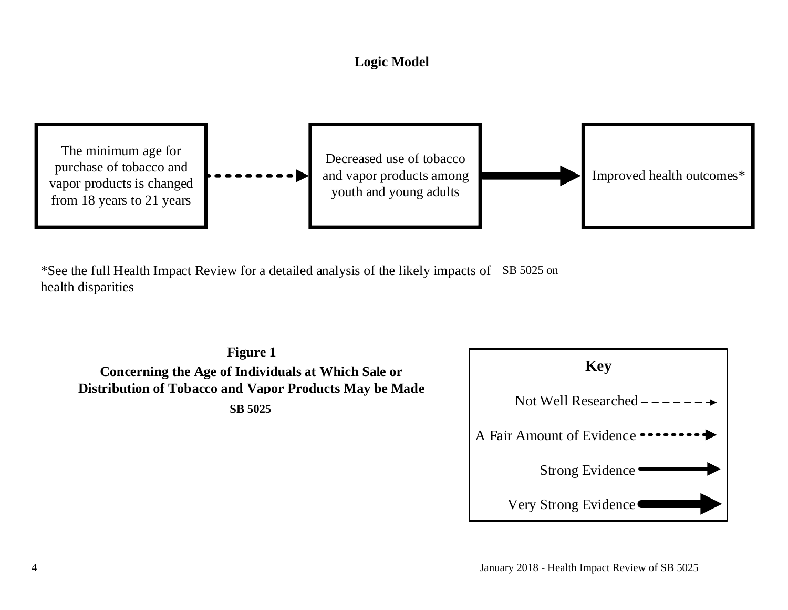# **Logic Model**



<span id="page-5-0"></span>\*See the full Health Impact Review for a detailed analysis of the likely impacts of SB 5025 on health disparities

**Figure 1 Concerning the Age of Individuals at Which Sale or Distribution of Tobacco and Vapor Products May be Made SB 5025** 

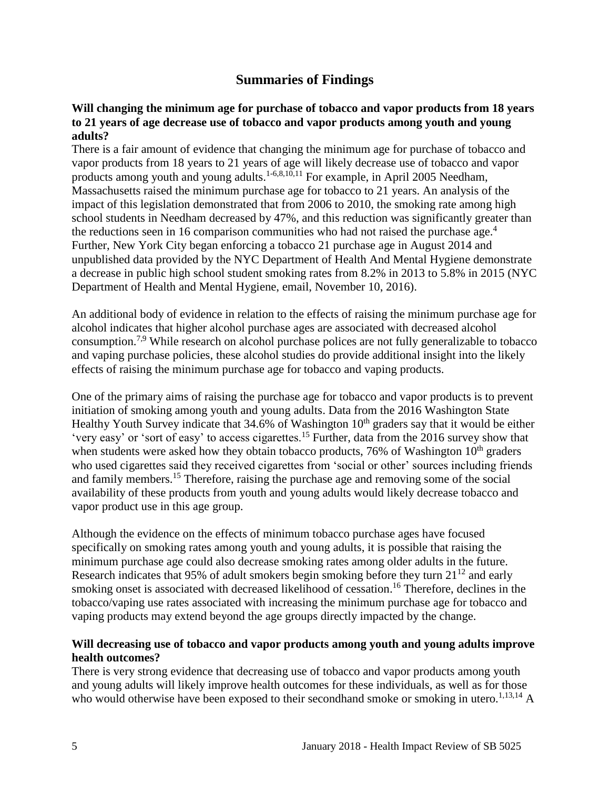# **Summaries of Findings**

#### <span id="page-6-0"></span>**Will changing the minimum age for purchase of tobacco and vapor products from 18 years to 21 years of age decrease use of tobacco and vapor products among youth and young adults?**

There is a fair amount of evidence that changing the minimum age for purchase of tobacco and vapor products from 18 years to 21 years of age will likely decrease use of tobacco and vapor products among youth and young adults.<sup>[1-6](#page-12-1)[,8](#page-15-0)[,10](#page-17-0)[,11](#page-17-1)</sup> For example, in April 2005 Needham, Massachusetts raised the minimum purchase age for tobacco to 21 years. An analysis of the impact of this legislation demonstrated that from 2006 to 2010, the smoking rate among high school students in Needham decreased by 47%, and this reduction was significantly greater than the reductions seen in 16 comparison communities who had not raised the purchase age.<sup>4</sup> Further, New York City began enforcing a tobacco 21 purchase age in August 2014 and unpublished data provided by the NYC Department of Health And Mental Hygiene demonstrate a decrease in public high school student smoking rates from 8.2% in 2013 to 5.8% in 2015 (NYC Department of Health and Mental Hygiene, email, November 10, 2016).

An additional body of evidence in relation to the effects of raising the minimum purchase age for alcohol indicates that higher alcohol purchase ages are associated with decreased alcohol consumption.[7](#page-15-1)[,9](#page-16-0) While research on alcohol purchase polices are not fully generalizable to tobacco and vaping purchase policies, these alcohol studies do provide additional insight into the likely effects of raising the minimum purchase age for tobacco and vaping products.

One of the primary aims of raising the purchase age for tobacco and vapor products is to prevent initiation of smoking among youth and young adults. Data from the 2016 Washington State Healthy Youth Survey indicate that  $34.6\%$  of Washington  $10<sup>th</sup>$  graders say that it would be either 'very easy' or 'sort of easy' to access cigarettes.<sup>15</sup> Further, data from the 2016 survey show that when students were asked how they obtain tobacco products,  $76\%$  of Washington  $10<sup>th</sup>$  graders who used cigarettes said they received cigarettes from 'social or other' sources including friends and family members.<sup>15</sup> Therefore, raising the purchase age and removing some of the social availability of these products from youth and young adults would likely decrease tobacco and vapor product use in this age group.

Although the evidence on the effects of minimum tobacco purchase ages have focused specifically on smoking rates among youth and young adults, it is possible that raising the minimum purchase age could also decrease smoking rates among older adults in the future. Research indicates that 95% of adult smokers begin smoking before they turn  $21^{12}$  and early smoking onset is associated with decreased likelihood of cessation.<sup>16</sup> Therefore, declines in the tobacco/vaping use rates associated with increasing the minimum purchase age for tobacco and vaping products may extend beyond the age groups directly impacted by the change.

#### **Will decreasing use of tobacco and vapor products among youth and young adults improve health outcomes?**

There is very strong evidence that decreasing use of tobacco and vapor products among youth and young adults will likely improve health outcomes for these individuals, as well as for those who would otherwise have been exposed to their secondhand smoke or smoking in utero.<sup>[1,](#page-12-1)[13,](#page-18-0)[14](#page-18-1)</sup> A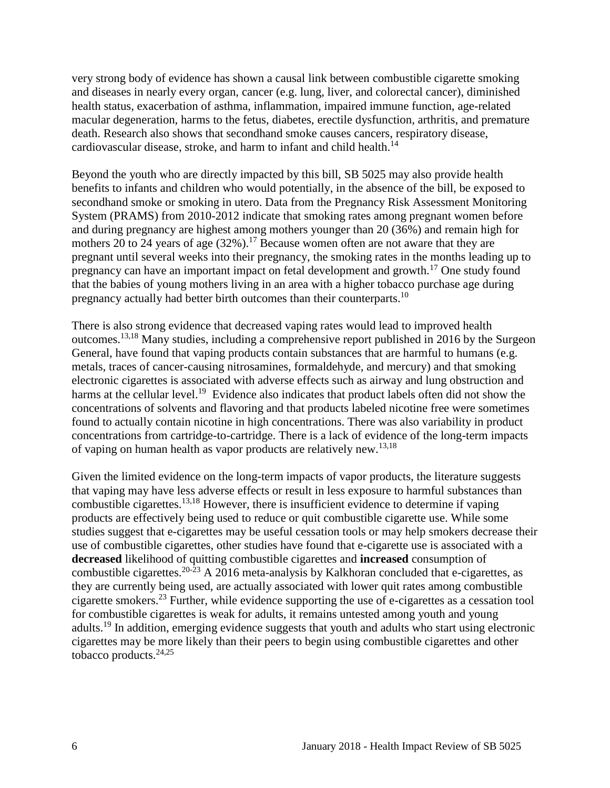very strong body of evidence has shown a causal link between combustible cigarette smoking and diseases in nearly every organ, cancer (e.g. lung, liver, and colorectal cancer), diminished health status, exacerbation of asthma, inflammation, impaired immune function, age-related macular degeneration, harms to the fetus, diabetes, erectile dysfunction, arthritis, and premature death. Research also shows that secondhand smoke causes cancers, respiratory disease, cardiovascular disease, stroke, and harm to infant and child health.<sup>14</sup>

Beyond the youth who are directly impacted by this bill, SB 5025 may also provide health benefits to infants and children who would potentially, in the absence of the bill, be exposed to secondhand smoke or smoking in utero. Data from the Pregnancy Risk Assessment Monitoring System (PRAMS) from 2010-2012 indicate that smoking rates among pregnant women before and during pregnancy are highest among mothers younger than 20 (36%) and remain high for mothers 20 to 24 years of age  $(32\%)$ .<sup>17</sup> Because women often are not aware that they are pregnant until several weeks into their pregnancy, the smoking rates in the months leading up to pregnancy can have an important impact on fetal development and growth.<sup>17</sup> One study found that the babies of young mothers living in an area with a higher tobacco purchase age during pregnancy actually had better birth outcomes than their counterparts.<sup>10</sup>

There is also strong evidence that decreased vaping rates would lead to improved health outcomes.[13](#page-18-0)[,18](#page-20-0) Many studies, including a comprehensive report published in 2016 by the Surgeon General, have found that vaping products contain substances that are harmful to humans (e.g. metals, traces of cancer-causing nitrosamines, formaldehyde, and mercury) and that smoking electronic cigarettes is associated with adverse effects such as airway and lung obstruction and harms at the cellular level.<sup>19</sup> Evidence also indicates that product labels often did not show the concentrations of solvents and flavoring and that products labeled nicotine free were sometimes found to actually contain nicotine in high concentrations. There was also variability in product concentrations from cartridge-to-cartridge. There is a lack of evidence of the long-term impacts of vaping on human health as vapor products are relatively new.<sup>[13](#page-18-0)[,18](#page-20-0)</sup>

Given the limited evidence on the long-term impacts of vapor products, the literature suggests that vaping may have less adverse effects or result in less exposure to harmful substances than combustible cigarettes.[13,](#page-18-0)[18](#page-20-0) However, there is insufficient evidence to determine if vaping products are effectively being used to reduce or quit combustible cigarette use. While some studies suggest that e-cigarettes may be useful cessation tools or may help smokers decrease their use of combustible cigarettes, other studies have found that e-cigarette use is associated with a **decreased** likelihood of quitting combustible cigarettes and **increased** consumption of combustible cigarettes.<sup>20-23</sup> A 2016 meta-analysis by Kalkhoran concluded that e-cigarettes, as they are currently being used, are actually associated with lower quit rates among combustible cigarette smokers.<sup>23</sup> Further, while evidence supporting the use of e-cigarettes as a cessation tool for combustible cigarettes is weak for adults, it remains untested among youth and young adults.<sup>19</sup> In addition, emerging evidence suggests that youth and adults who start using electronic cigarettes may be more likely than their peers to begin using combustible cigarettes and other tobacco products.[24,](#page-23-0)[25](#page-23-1)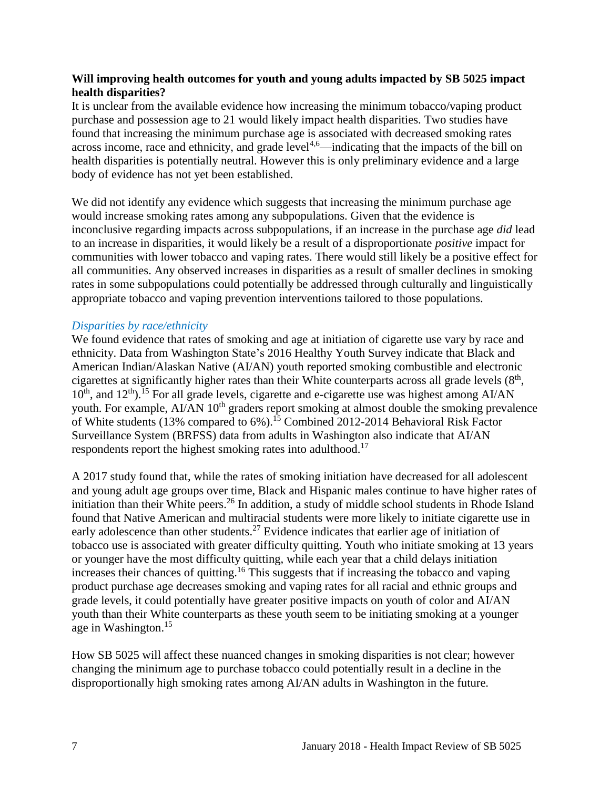#### **Will improving health outcomes for youth and young adults impacted by SB 5025 impact health disparities?**

It is unclear from the available evidence how increasing the minimum tobacco/vaping product purchase and possession age to 21 would likely impact health disparities. Two studies have found that increasing the minimum purchase age is associated with decreased smoking rates across income, race and ethnicity, and grade level<sup>[4](#page-13-0)[,6](#page-14-0)</sup>—indicating that the impacts of the bill on health disparities is potentially neutral. However this is only preliminary evidence and a large body of evidence has not yet been established.

We did not identify any evidence which suggests that increasing the minimum purchase age would increase smoking rates among any subpopulations. Given that the evidence is inconclusive regarding impacts across subpopulations, if an increase in the purchase age *did* lead to an increase in disparities, it would likely be a result of a disproportionate *positive* impact for communities with lower tobacco and vaping rates. There would still likely be a positive effect for all communities. Any observed increases in disparities as a result of smaller declines in smoking rates in some subpopulations could potentially be addressed through culturally and linguistically appropriate tobacco and vaping prevention interventions tailored to those populations.

#### *Disparities by race/ethnicity*

We found evidence that rates of smoking and age at initiation of cigarette use vary by race and ethnicity. Data from Washington State's 2016 Healthy Youth Survey indicate that Black and American Indian/Alaskan Native (AI/AN) youth reported smoking combustible and electronic cigarettes at significantly higher rates than their White counterparts across all grade levels  $(8<sup>th</sup>,$  $10^{th}$ , and  $12^{th}$ ).<sup>15</sup> For all grade levels, cigarette and e-cigarette use was highest among AI/AN youth. For example, AI/AN 10<sup>th</sup> graders report smoking at almost double the smoking prevalence of White students (13% compared to 6%).<sup>15</sup> Combined 2012-2014 Behavioral Risk Factor Surveillance System (BRFSS) data from adults in Washington also indicate that AI/AN respondents report the highest smoking rates into adulthood.<sup>17</sup>

A 2017 study found that, while the rates of smoking initiation have decreased for all adolescent and young adult age groups over time, Black and Hispanic males continue to have higher rates of initiation than their White peers.<sup>26</sup> In addition, a study of middle school students in Rhode Island found that Native American and multiracial students were more likely to initiate cigarette use in early adolescence than other students.<sup>27</sup> Evidence indicates that earlier age of initiation of tobacco use is associated with greater difficulty quitting. Youth who initiate smoking at 13 years or younger have the most difficulty quitting, while each year that a child delays initiation increases their chances of quitting.<sup>16</sup> This suggests that if increasing the tobacco and vaping product purchase age decreases smoking and vaping rates for all racial and ethnic groups and grade levels, it could potentially have greater positive impacts on youth of color and AI/AN youth than their White counterparts as these youth seem to be initiating smoking at a younger age in Washington.<sup>15</sup>

How SB 5025 will affect these nuanced changes in smoking disparities is not clear; however changing the minimum age to purchase tobacco could potentially result in a decline in the disproportionally high smoking rates among AI/AN adults in Washington in the future.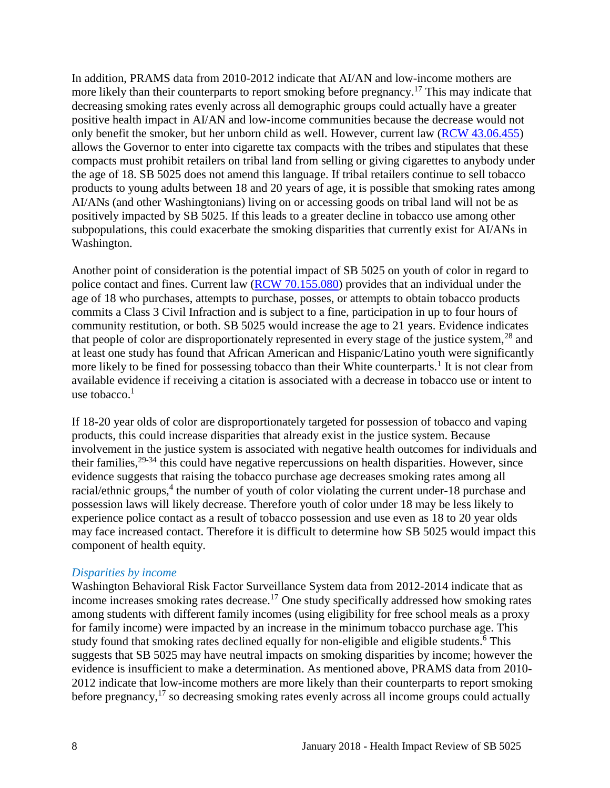In addition, PRAMS data from 2010-2012 indicate that AI/AN and low-income mothers are more likely than their counterparts to report smoking before pregnancy.<sup>17</sup> This may indicate that decreasing smoking rates evenly across all demographic groups could actually have a greater positive health impact in AI/AN and low-income communities because the decrease would not only benefit the smoker, but her unborn child as well. However, current law [\(RCW 43.06.455\)](http://apps.leg.wa.gov/rcw/default.aspx?cite=43.06.455) allows the Governor to enter into cigarette tax compacts with the tribes and stipulates that these compacts must prohibit retailers on tribal land from selling or giving cigarettes to anybody under the age of 18. SB 5025 does not amend this language. If tribal retailers continue to sell tobacco products to young adults between 18 and 20 years of age, it is possible that smoking rates among AI/ANs (and other Washingtonians) living on or accessing goods on tribal land will not be as positively impacted by SB 5025. If this leads to a greater decline in tobacco use among other subpopulations, this could exacerbate the smoking disparities that currently exist for AI/ANs in Washington.

Another point of consideration is the potential impact of SB 5025 on youth of color in regard to police contact and fines. Current law [\(RCW 70.155.080\)](http://apps.leg.wa.gov/rcw/default.aspx?cite=70.155.080) provides that an individual under the age of 18 who purchases, attempts to purchase, posses, or attempts to obtain tobacco products commits a Class 3 Civil Infraction and is subject to a fine, participation in up to four hours of community restitution, or both. SB 5025 would increase the age to 21 years. Evidence indicates that people of color are disproportionately represented in every stage of the justice system,<sup>28</sup> and at least one study has found that African American and Hispanic/Latino youth were significantly more likely to be fined for possessing tobacco than their White counterparts.<sup>1</sup> It is not clear from available evidence if receiving a citation is associated with a decrease in tobacco use or intent to use tobacco. $<sup>1</sup>$ </sup>

If 18-20 year olds of color are disproportionately targeted for possession of tobacco and vaping products, this could increase disparities that already exist in the justice system. Because involvement in the justice system is associated with negative health outcomes for individuals and their families,  $29-34$  this could have negative repercussions on health disparities. However, since evidence suggests that raising the tobacco purchase age decreases smoking rates among all racial/ethnic groups,<sup>4</sup> the number of youth of color violating the current under-18 purchase and possession laws will likely decrease. Therefore youth of color under 18 may be less likely to experience police contact as a result of tobacco possession and use even as 18 to 20 year olds may face increased contact. Therefore it is difficult to determine how SB 5025 would impact this component of health equity.

#### *Disparities by income*

Washington Behavioral Risk Factor Surveillance System data from 2012-2014 indicate that as income increases smoking rates decrease.<sup>17</sup> One study specifically addressed how smoking rates among students with different family incomes (using eligibility for free school meals as a proxy for family income) were impacted by an increase in the minimum tobacco purchase age. This study found that smoking rates declined equally for non-eligible and eligible students.<sup>6</sup> This suggests that SB 5025 may have neutral impacts on smoking disparities by income; however the evidence is insufficient to make a determination. As mentioned above, PRAMS data from 2010- 2012 indicate that low-income mothers are more likely than their counterparts to report smoking before pregnancy,<sup>17</sup> so decreasing smoking rates evenly across all income groups could actually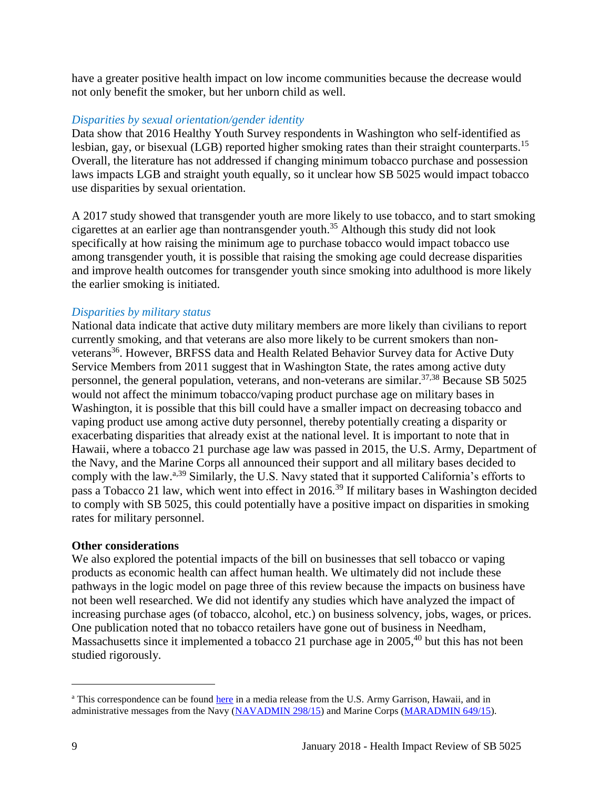have a greater positive health impact on low income communities because the decrease would not only benefit the smoker, but her unborn child as well.

#### *Disparities by sexual orientation/gender identity*

Data show that 2016 Healthy Youth Survey respondents in Washington who self-identified as lesbian, gay, or bisexual (LGB) reported higher smoking rates than their straight counterparts.<sup>15</sup> Overall, the literature has not addressed if changing minimum tobacco purchase and possession laws impacts LGB and straight youth equally, so it unclear how SB 5025 would impact tobacco use disparities by sexual orientation.

A 2017 study showed that transgender youth are more likely to use tobacco, and to start smoking cigarettes at an earlier age than nontransgender youth. <sup>35</sup> Although this study did not look specifically at how raising the minimum age to purchase tobacco would impact tobacco use among transgender youth, it is possible that raising the smoking age could decrease disparities and improve health outcomes for transgender youth since smoking into adulthood is more likely the earlier smoking is initiated.

#### *Disparities by military status*

National data indicate that active duty military members are more likely than civilians to report currently smoking, and that veterans are also more likely to be current smokers than nonveterans<sup>36</sup>. However, BRFSS data and Health Related Behavior Survey data for Active Duty Service Members from 2011 suggest that in Washington State, the rates among active duty personnel, the general population, veterans, and non-veterans are similar.<sup>[37](#page-27-0)[,38](#page-27-1)</sup> Because SB 5025 would not affect the minimum tobacco/vaping product purchase age on military bases in Washington, it is possible that this bill could have a smaller impact on decreasing tobacco and vaping product use among active duty personnel, thereby potentially creating a disparity or exacerbating disparities that already exist at the national level. It is important to note that in Hawaii, where a tobacco 21 purchase age law was passed in 2015, the U.S. Army, Department of the Navy, and the Marine Corps all announced their support and all military bases decided to comply with the law.<sup>a,39</sup> Similarly, the U.S. Navy stated that it supported California's efforts to pass a Tobacco 21 law, which went into effect in 2016.<sup>39</sup> If military bases in Washington decided to comply with SB 5025, this could potentially have a positive impact on disparities in smoking rates for military personnel.

#### **Other considerations**

We also explored the potential impacts of the bill on businesses that sell tobacco or vaping products as economic health can affect human health. We ultimately did not include these pathways in the logic model on page three of this review because the impacts on business have not been well researched. We did not identify any studies which have analyzed the impact of increasing purchase ages (of tobacco, alcohol, etc.) on business solvency, jobs, wages, or prices. One publication noted that no tobacco retailers have gone out of business in Needham, Massachusetts since it implemented a tobacco 21 purchase age in 2005,<sup>40</sup> but this has not been studied rigorously.

l

<sup>&</sup>lt;sup>a</sup> This correspondence can be found [here](https://www.garrison.hawaii.army.mil/pao/mr2015/MR_2015-12-02_ArmyToComplyWithStateSmokingLaw_FINAL.pdfhttps:/www.garrison.hawaii.army.mil/pao/mr2015/MR_2015-12-02_ArmyToComplyWithStateSmokingLaw_FINAL.pdf) in a media release from the U.S. Army Garrison, Hawaii, and in administrative messages from the Navy [\(NAVADMIN 298/15\)](https://www.navyreserve.navy.mil/Documents/Hot%20Topics%20Holding%20Folder/NAVADMIN%20298_15%20NOTICE%20OF%20HAWAII%20RAISING%20SMOKING%20AGE%20TO%2021%20EFFECTIVE%201%20JAN%2016.pdf) and Marine Corps [\(MARADMIN 649/15\)](http://www.marines.mil/mobile_noteused/MARADMINS/View/Article/175678/notice-of-hawaii-raising-smoking-age-to-21-effective-1-january-2016/).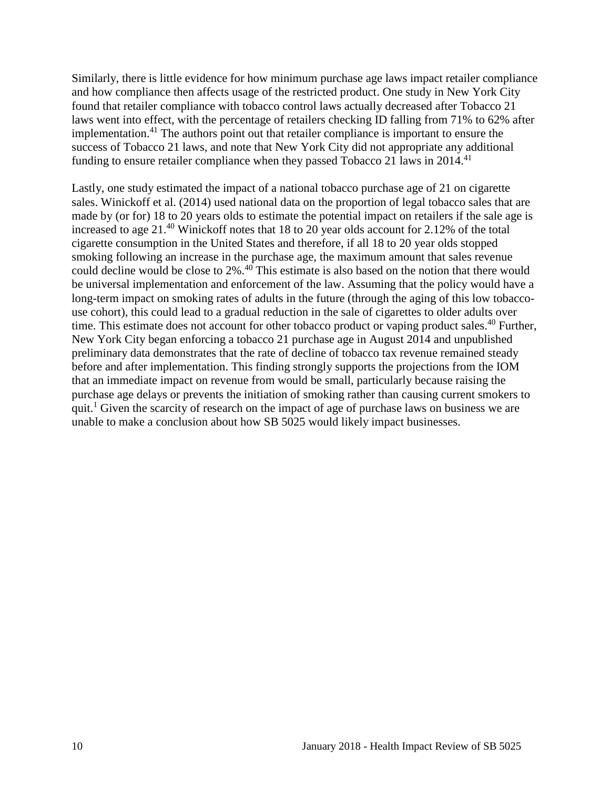Similarly, there is little evidence for how minimum purchase age laws impact retailer compliance and how compliance then affects usage of the restricted product. One study in New York City found that retailer compliance with tobacco control laws actually decreased after Tobacco 21 laws went into effect, with the percentage of retailers checking ID falling from 71% to 62% after implementation.<sup>41</sup> The authors point out that retailer compliance is important to ensure the success of Tobacco 21 laws, and note that New York City did not appropriate any additional funding to ensure retailer compliance when they passed Tobacco 21 laws in 2014.<sup>41</sup>

Lastly, one study estimated the impact of a national tobacco purchase age of 21 on cigarette sales. Winickoff et al. (2014) used national data on the proportion of legal tobacco sales that are made by (or for) 18 to 20 years olds to estimate the potential impact on retailers if the sale age is increased to age  $21<sup>40</sup>$  Winickoff notes that 18 to 20 year olds account for 2.12% of the total cigarette consumption in the United States and therefore, if all 18 to 20 year olds stopped smoking following an increase in the purchase age, the maximum amount that sales revenue could decline would be close to 2%. <sup>40</sup> This estimate is also based on the notion that there would be universal implementation and enforcement of the law. Assuming that the policy would have a long-term impact on smoking rates of adults in the future (through the aging of this low tobaccouse cohort), this could lead to a gradual reduction in the sale of cigarettes to older adults over time. This estimate does not account for other tobacco product or vaping product sales.<sup>40</sup> Further, New York City began enforcing a tobacco 21 purchase age in August 2014 and unpublished preliminary data demonstrates that the rate of decline of tobacco tax revenue remained steady before and after implementation. This finding strongly supports the projections from the IOM that an immediate impact on revenue from would be small, particularly because raising the purchase age delays or prevents the initiation of smoking rather than causing current smokers to quit.<sup>1</sup> Given the scarcity of research on the impact of age of purchase laws on business we are unable to make a conclusion about how SB 5025 would likely impact businesses.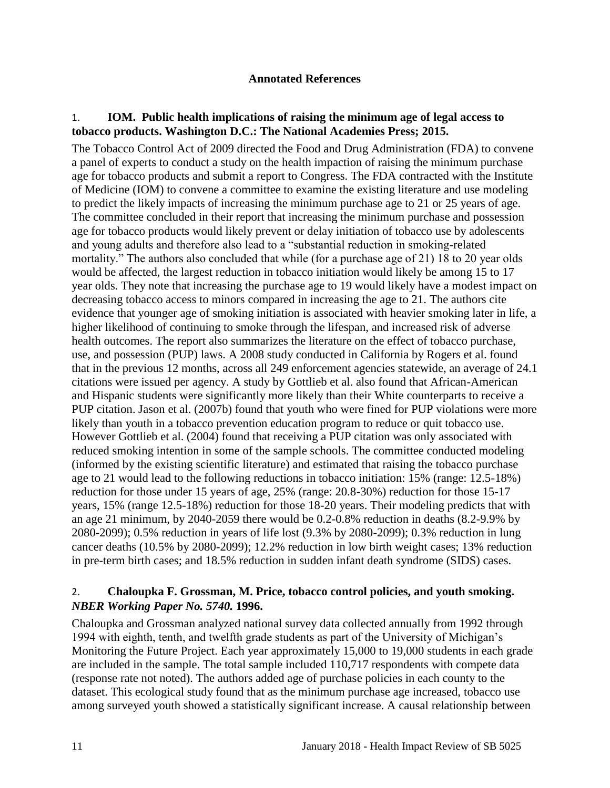#### **Annotated References**

## <span id="page-12-1"></span><span id="page-12-0"></span>1. **IOM. Public health implications of raising the minimum age of legal access to tobacco products. Washington D.C.: The National Academies Press; 2015.**

The Tobacco Control Act of 2009 directed the Food and Drug Administration (FDA) to convene a panel of experts to conduct a study on the health impaction of raising the minimum purchase age for tobacco products and submit a report to Congress. The FDA contracted with the Institute of Medicine (IOM) to convene a committee to examine the existing literature and use modeling to predict the likely impacts of increasing the minimum purchase age to 21 or 25 years of age. The committee concluded in their report that increasing the minimum purchase and possession age for tobacco products would likely prevent or delay initiation of tobacco use by adolescents and young adults and therefore also lead to a "substantial reduction in smoking-related mortality." The authors also concluded that while (for a purchase age of 21) 18 to 20 year olds would be affected, the largest reduction in tobacco initiation would likely be among 15 to 17 year olds. They note that increasing the purchase age to 19 would likely have a modest impact on decreasing tobacco access to minors compared in increasing the age to 21. The authors cite evidence that younger age of smoking initiation is associated with heavier smoking later in life, a higher likelihood of continuing to smoke through the lifespan, and increased risk of adverse health outcomes. The report also summarizes the literature on the effect of tobacco purchase, use, and possession (PUP) laws. A 2008 study conducted in California by Rogers et al. found that in the previous 12 months, across all 249 enforcement agencies statewide, an average of 24.1 citations were issued per agency. A study by Gottlieb et al. also found that African-American and Hispanic students were significantly more likely than their White counterparts to receive a PUP citation. Jason et al. (2007b) found that youth who were fined for PUP violations were more likely than youth in a tobacco prevention education program to reduce or quit tobacco use. However Gottlieb et al. (2004) found that receiving a PUP citation was only associated with reduced smoking intention in some of the sample schools. The committee conducted modeling (informed by the existing scientific literature) and estimated that raising the tobacco purchase age to 21 would lead to the following reductions in tobacco initiation: 15% (range: 12.5-18%) reduction for those under 15 years of age, 25% (range: 20.8-30%) reduction for those 15-17 years, 15% (range 12.5-18%) reduction for those 18-20 years. Their modeling predicts that with an age 21 minimum, by 2040-2059 there would be 0.2-0.8% reduction in deaths (8.2-9.9% by 2080-2099); 0.5% reduction in years of life lost (9.3% by 2080-2099); 0.3% reduction in lung cancer deaths (10.5% by 2080-2099); 12.2% reduction in low birth weight cases; 13% reduction in pre-term birth cases; and 18.5% reduction in sudden infant death syndrome (SIDS) cases.

#### 2. **Chaloupka F. Grossman, M. Price, tobacco control policies, and youth smoking.**  *NBER Working Paper No. 5740.* **1996.**

Chaloupka and Grossman analyzed national survey data collected annually from 1992 through 1994 with eighth, tenth, and twelfth grade students as part of the University of Michigan's Monitoring the Future Project. Each year approximately 15,000 to 19,000 students in each grade are included in the sample. The total sample included 110,717 respondents with compete data (response rate not noted). The authors added age of purchase policies in each county to the dataset. This ecological study found that as the minimum purchase age increased, tobacco use among surveyed youth showed a statistically significant increase. A causal relationship between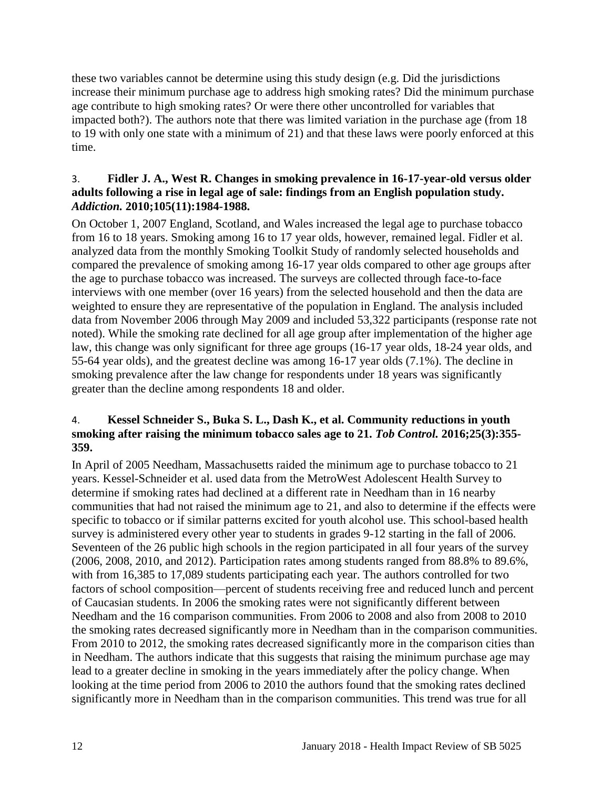these two variables cannot be determine using this study design (e.g. Did the jurisdictions increase their minimum purchase age to address high smoking rates? Did the minimum purchase age contribute to high smoking rates? Or were there other uncontrolled for variables that impacted both?). The authors note that there was limited variation in the purchase age (from 18 to 19 with only one state with a minimum of 21) and that these laws were poorly enforced at this time.

#### 3. **Fidler J. A., West R. Changes in smoking prevalence in 16-17-year-old versus older adults following a rise in legal age of sale: findings from an English population study.**  *Addiction.* **2010;105(11):1984-1988.**

On October 1, 2007 England, Scotland, and Wales increased the legal age to purchase tobacco from 16 to 18 years. Smoking among 16 to 17 year olds, however, remained legal. Fidler et al. analyzed data from the monthly Smoking Toolkit Study of randomly selected households and compared the prevalence of smoking among 16-17 year olds compared to other age groups after the age to purchase tobacco was increased. The surveys are collected through face-to-face interviews with one member (over 16 years) from the selected household and then the data are weighted to ensure they are representative of the population in England. The analysis included data from November 2006 through May 2009 and included 53,322 participants (response rate not noted). While the smoking rate declined for all age group after implementation of the higher age law, this change was only significant for three age groups (16-17 year olds, 18-24 year olds, and 55-64 year olds), and the greatest decline was among 16-17 year olds (7.1%). The decline in smoking prevalence after the law change for respondents under 18 years was significantly greater than the decline among respondents 18 and older.

#### <span id="page-13-0"></span>4. **Kessel Schneider S., Buka S. L., Dash K., et al. Community reductions in youth smoking after raising the minimum tobacco sales age to 21.** *Tob Control.* **2016;25(3):355- 359.**

In April of 2005 Needham, Massachusetts raided the minimum age to purchase tobacco to 21 years. Kessel-Schneider et al. used data from the MetroWest Adolescent Health Survey to determine if smoking rates had declined at a different rate in Needham than in 16 nearby communities that had not raised the minimum age to 21, and also to determine if the effects were specific to tobacco or if similar patterns excited for youth alcohol use. This school-based health survey is administered every other year to students in grades 9-12 starting in the fall of 2006. Seventeen of the 26 public high schools in the region participated in all four years of the survey (2006, 2008, 2010, and 2012). Participation rates among students ranged from 88.8% to 89.6%, with from 16,385 to 17,089 students participating each year. The authors controlled for two factors of school composition—percent of students receiving free and reduced lunch and percent of Caucasian students. In 2006 the smoking rates were not significantly different between Needham and the 16 comparison communities. From 2006 to 2008 and also from 2008 to 2010 the smoking rates decreased significantly more in Needham than in the comparison communities. From 2010 to 2012, the smoking rates decreased significantly more in the comparison cities than in Needham. The authors indicate that this suggests that raising the minimum purchase age may lead to a greater decline in smoking in the years immediately after the policy change. When looking at the time period from 2006 to 2010 the authors found that the smoking rates declined significantly more in Needham than in the comparison communities. This trend was true for all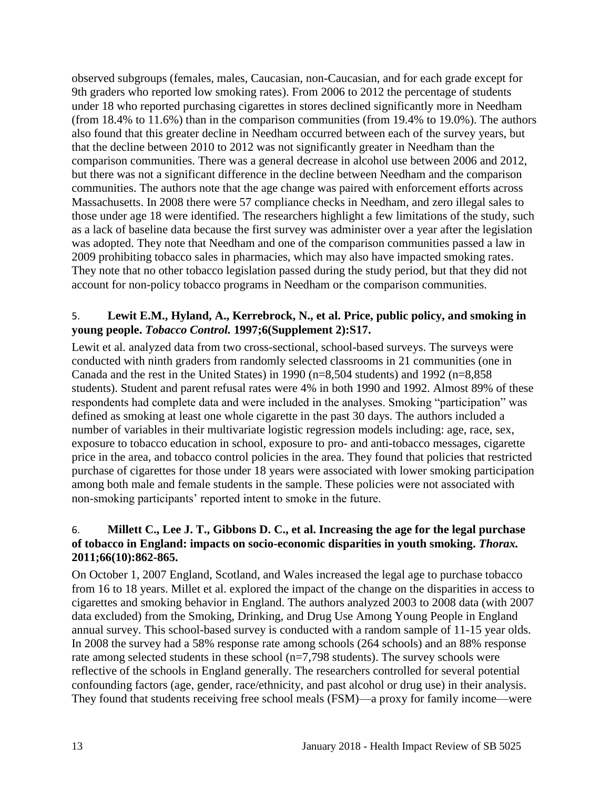observed subgroups (females, males, Caucasian, non-Caucasian, and for each grade except for 9th graders who reported low smoking rates). From 2006 to 2012 the percentage of students under 18 who reported purchasing cigarettes in stores declined significantly more in Needham (from 18.4% to 11.6%) than in the comparison communities (from 19.4% to 19.0%). The authors also found that this greater decline in Needham occurred between each of the survey years, but that the decline between 2010 to 2012 was not significantly greater in Needham than the comparison communities. There was a general decrease in alcohol use between 2006 and 2012, but there was not a significant difference in the decline between Needham and the comparison communities. The authors note that the age change was paired with enforcement efforts across Massachusetts. In 2008 there were 57 compliance checks in Needham, and zero illegal sales to those under age 18 were identified. The researchers highlight a few limitations of the study, such as a lack of baseline data because the first survey was administer over a year after the legislation was adopted. They note that Needham and one of the comparison communities passed a law in 2009 prohibiting tobacco sales in pharmacies, which may also have impacted smoking rates. They note that no other tobacco legislation passed during the study period, but that they did not account for non-policy tobacco programs in Needham or the comparison communities.

# 5. **Lewit E.M., Hyland, A., Kerrebrock, N., et al. Price, public policy, and smoking in young people.** *Tobacco Control.* **1997;6(Supplement 2):S17.**

Lewit et al. analyzed data from two cross-sectional, school-based surveys. The surveys were conducted with ninth graders from randomly selected classrooms in 21 communities (one in Canada and the rest in the United States) in 1990 ( $n=8,504$  students) and 1992 ( $n=8,858$ students). Student and parent refusal rates were 4% in both 1990 and 1992. Almost 89% of these respondents had complete data and were included in the analyses. Smoking "participation" was defined as smoking at least one whole cigarette in the past 30 days. The authors included a number of variables in their multivariate logistic regression models including: age, race, sex, exposure to tobacco education in school, exposure to pro- and anti-tobacco messages, cigarette price in the area, and tobacco control policies in the area. They found that policies that restricted purchase of cigarettes for those under 18 years were associated with lower smoking participation among both male and female students in the sample. These policies were not associated with non-smoking participants' reported intent to smoke in the future.

# <span id="page-14-0"></span>6. **Millett C., Lee J. T., Gibbons D. C., et al. Increasing the age for the legal purchase of tobacco in England: impacts on socio-economic disparities in youth smoking.** *Thorax.*  **2011;66(10):862-865.**

On October 1, 2007 England, Scotland, and Wales increased the legal age to purchase tobacco from 16 to 18 years. Millet et al. explored the impact of the change on the disparities in access to cigarettes and smoking behavior in England. The authors analyzed 2003 to 2008 data (with 2007 data excluded) from the Smoking, Drinking, and Drug Use Among Young People in England annual survey. This school-based survey is conducted with a random sample of 11-15 year olds. In 2008 the survey had a 58% response rate among schools (264 schools) and an 88% response rate among selected students in these school (n=7,798 students). The survey schools were reflective of the schools in England generally. The researchers controlled for several potential confounding factors (age, gender, race/ethnicity, and past alcohol or drug use) in their analysis. They found that students receiving free school meals (FSM)—a proxy for family income—were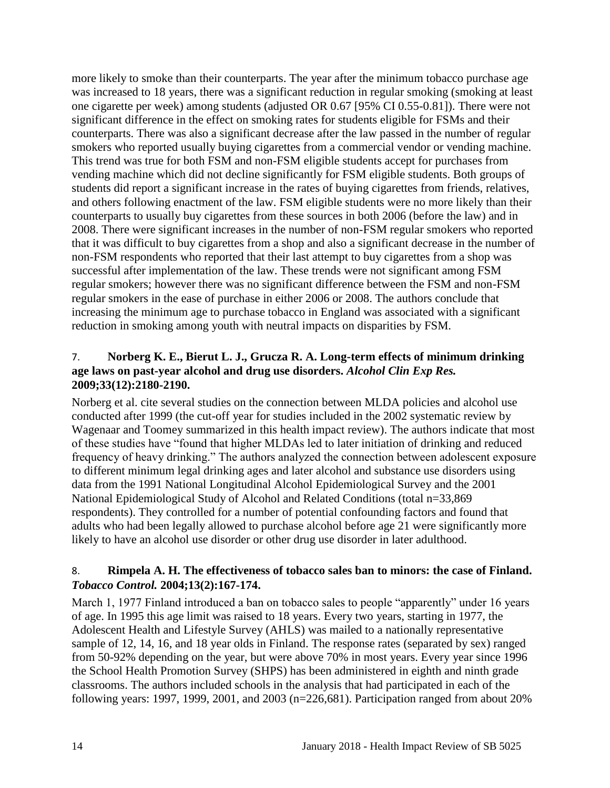more likely to smoke than their counterparts. The year after the minimum tobacco purchase age was increased to 18 years, there was a significant reduction in regular smoking (smoking at least one cigarette per week) among students (adjusted OR 0.67 [95% CI 0.55-0.81]). There were not significant difference in the effect on smoking rates for students eligible for FSMs and their counterparts. There was also a significant decrease after the law passed in the number of regular smokers who reported usually buying cigarettes from a commercial vendor or vending machine. This trend was true for both FSM and non-FSM eligible students accept for purchases from vending machine which did not decline significantly for FSM eligible students. Both groups of students did report a significant increase in the rates of buying cigarettes from friends, relatives, and others following enactment of the law. FSM eligible students were no more likely than their counterparts to usually buy cigarettes from these sources in both 2006 (before the law) and in 2008. There were significant increases in the number of non-FSM regular smokers who reported that it was difficult to buy cigarettes from a shop and also a significant decrease in the number of non-FSM respondents who reported that their last attempt to buy cigarettes from a shop was successful after implementation of the law. These trends were not significant among FSM regular smokers; however there was no significant difference between the FSM and non-FSM regular smokers in the ease of purchase in either 2006 or 2008. The authors conclude that increasing the minimum age to purchase tobacco in England was associated with a significant reduction in smoking among youth with neutral impacts on disparities by FSM.

#### <span id="page-15-1"></span>7. **Norberg K. E., Bierut L. J., Grucza R. A. Long-term effects of minimum drinking age laws on past-year alcohol and drug use disorders.** *Alcohol Clin Exp Res.*  **2009;33(12):2180-2190.**

Norberg et al. cite several studies on the connection between MLDA policies and alcohol use conducted after 1999 (the cut-off year for studies included in the 2002 systematic review by Wagenaar and Toomey summarized in this health impact review). The authors indicate that most of these studies have "found that higher MLDAs led to later initiation of drinking and reduced frequency of heavy drinking." The authors analyzed the connection between adolescent exposure to different minimum legal drinking ages and later alcohol and substance use disorders using data from the 1991 National Longitudinal Alcohol Epidemiological Survey and the 2001 National Epidemiological Study of Alcohol and Related Conditions (total n=33,869 respondents). They controlled for a number of potential confounding factors and found that adults who had been legally allowed to purchase alcohol before age 21 were significantly more likely to have an alcohol use disorder or other drug use disorder in later adulthood.

# <span id="page-15-0"></span>8. **Rimpela A. H. The effectiveness of tobacco sales ban to minors: the case of Finland.**  *Tobacco Control.* **2004;13(2):167-174.**

March 1, 1977 Finland introduced a ban on tobacco sales to people "apparently" under 16 years of age. In 1995 this age limit was raised to 18 years. Every two years, starting in 1977, the Adolescent Health and Lifestyle Survey (AHLS) was mailed to a nationally representative sample of 12, 14, 16, and 18 year olds in Finland. The response rates (separated by sex) ranged from 50-92% depending on the year, but were above 70% in most years. Every year since 1996 the School Health Promotion Survey (SHPS) has been administered in eighth and ninth grade classrooms. The authors included schools in the analysis that had participated in each of the following years: 1997, 1999, 2001, and 2003 (n=226,681). Participation ranged from about 20%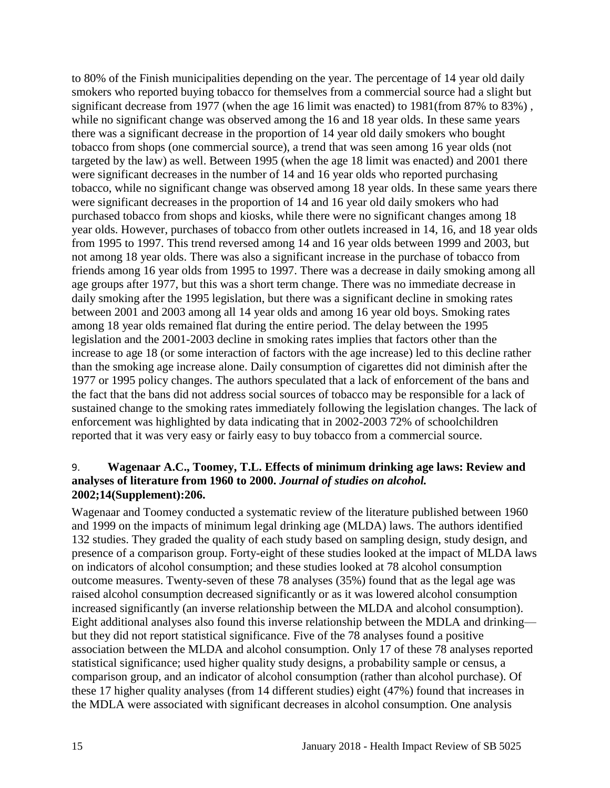to 80% of the Finish municipalities depending on the year. The percentage of 14 year old daily smokers who reported buying tobacco for themselves from a commercial source had a slight but significant decrease from 1977 (when the age 16 limit was enacted) to 1981(from 87% to 83%) , while no significant change was observed among the 16 and 18 year olds. In these same years there was a significant decrease in the proportion of 14 year old daily smokers who bought tobacco from shops (one commercial source), a trend that was seen among 16 year olds (not targeted by the law) as well. Between 1995 (when the age 18 limit was enacted) and 2001 there were significant decreases in the number of 14 and 16 year olds who reported purchasing tobacco, while no significant change was observed among 18 year olds. In these same years there were significant decreases in the proportion of 14 and 16 year old daily smokers who had purchased tobacco from shops and kiosks, while there were no significant changes among 18 year olds. However, purchases of tobacco from other outlets increased in 14, 16, and 18 year olds from 1995 to 1997. This trend reversed among 14 and 16 year olds between 1999 and 2003, but not among 18 year olds. There was also a significant increase in the purchase of tobacco from friends among 16 year olds from 1995 to 1997. There was a decrease in daily smoking among all age groups after 1977, but this was a short term change. There was no immediate decrease in daily smoking after the 1995 legislation, but there was a significant decline in smoking rates between 2001 and 2003 among all 14 year olds and among 16 year old boys. Smoking rates among 18 year olds remained flat during the entire period. The delay between the 1995 legislation and the 2001-2003 decline in smoking rates implies that factors other than the increase to age 18 (or some interaction of factors with the age increase) led to this decline rather than the smoking age increase alone. Daily consumption of cigarettes did not diminish after the 1977 or 1995 policy changes. The authors speculated that a lack of enforcement of the bans and the fact that the bans did not address social sources of tobacco may be responsible for a lack of sustained change to the smoking rates immediately following the legislation changes. The lack of enforcement was highlighted by data indicating that in 2002-2003 72% of schoolchildren reported that it was very easy or fairly easy to buy tobacco from a commercial source.

#### <span id="page-16-0"></span>9. **Wagenaar A.C., Toomey, T.L. Effects of minimum drinking age laws: Review and analyses of literature from 1960 to 2000.** *Journal of studies on alcohol.*  **2002;14(Supplement):206.**

Wagenaar and Toomey conducted a systematic review of the literature published between 1960 and 1999 on the impacts of minimum legal drinking age (MLDA) laws. The authors identified 132 studies. They graded the quality of each study based on sampling design, study design, and presence of a comparison group. Forty-eight of these studies looked at the impact of MLDA laws on indicators of alcohol consumption; and these studies looked at 78 alcohol consumption outcome measures. Twenty-seven of these 78 analyses (35%) found that as the legal age was raised alcohol consumption decreased significantly or as it was lowered alcohol consumption increased significantly (an inverse relationship between the MLDA and alcohol consumption). Eight additional analyses also found this inverse relationship between the MDLA and drinking but they did not report statistical significance. Five of the 78 analyses found a positive association between the MLDA and alcohol consumption. Only 17 of these 78 analyses reported statistical significance; used higher quality study designs, a probability sample or census, a comparison group, and an indicator of alcohol consumption (rather than alcohol purchase). Of these 17 higher quality analyses (from 14 different studies) eight (47%) found that increases in the MDLA were associated with significant decreases in alcohol consumption. One analysis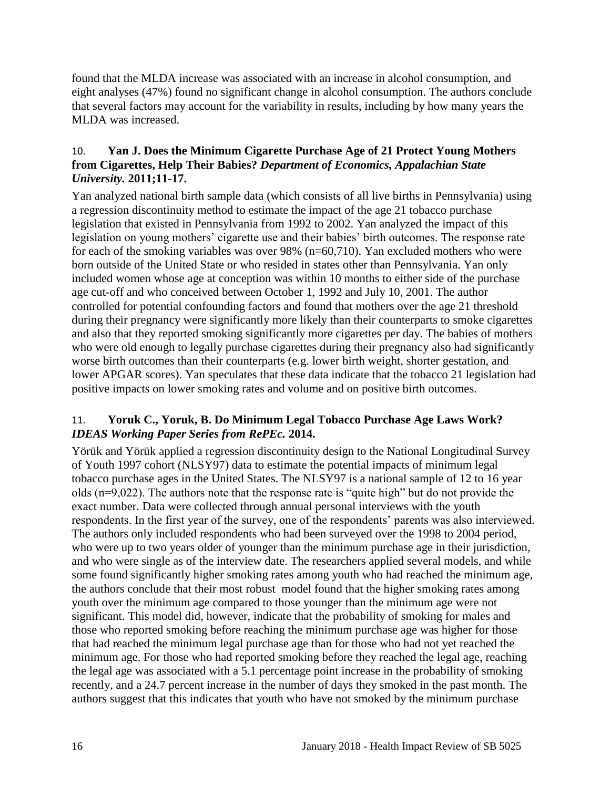found that the MLDA increase was associated with an increase in alcohol consumption, and eight analyses (47%) found no significant change in alcohol consumption. The authors conclude that several factors may account for the variability in results, including by how many years the MLDA was increased.

# <span id="page-17-0"></span>10. **Yan J. Does the Minimum Cigarette Purchase Age of 21 Protect Young Mothers from Cigarettes, Help Their Babies?** *Department of Economics, Appalachian State University.* **2011;11-17.**

Yan analyzed national birth sample data (which consists of all live births in Pennsylvania) using a regression discontinuity method to estimate the impact of the age 21 tobacco purchase legislation that existed in Pennsylvania from 1992 to 2002. Yan analyzed the impact of this legislation on young mothers' cigarette use and their babies' birth outcomes. The response rate for each of the smoking variables was over 98% (n=60,710). Yan excluded mothers who were born outside of the United State or who resided in states other than Pennsylvania. Yan only included women whose age at conception was within 10 months to either side of the purchase age cut-off and who conceived between October 1, 1992 and July 10, 2001. The author controlled for potential confounding factors and found that mothers over the age 21 threshold during their pregnancy were significantly more likely than their counterparts to smoke cigarettes and also that they reported smoking significantly more cigarettes per day. The babies of mothers who were old enough to legally purchase cigarettes during their pregnancy also had significantly worse birth outcomes than their counterparts (e.g. lower birth weight, shorter gestation, and lower APGAR scores). Yan speculates that these data indicate that the tobacco 21 legislation had positive impacts on lower smoking rates and volume and on positive birth outcomes.

# <span id="page-17-1"></span>11. **Yoruk C., Yoruk, B. Do Minimum Legal Tobacco Purchase Age Laws Work?**  *IDEAS Working Paper Series from RePEc.* **2014.**

Yörük and Yörük applied a regression discontinuity design to the National Longitudinal Survey of Youth 1997 cohort (NLSY97) data to estimate the potential impacts of minimum legal tobacco purchase ages in the United States. The NLSY97 is a national sample of 12 to 16 year olds (n=9,022). The authors note that the response rate is "quite high" but do not provide the exact number. Data were collected through annual personal interviews with the youth respondents. In the first year of the survey, one of the respondents' parents was also interviewed. The authors only included respondents who had been surveyed over the 1998 to 2004 period, who were up to two years older of younger than the minimum purchase age in their jurisdiction, and who were single as of the interview date. The researchers applied several models, and while some found significantly higher smoking rates among youth who had reached the minimum age, the authors conclude that their most robust model found that the higher smoking rates among youth over the minimum age compared to those younger than the minimum age were not significant. This model did, however, indicate that the probability of smoking for males and those who reported smoking before reaching the minimum purchase age was higher for those that had reached the minimum legal purchase age than for those who had not yet reached the minimum age. For those who had reported smoking before they reached the legal age, reaching the legal age was associated with a 5.1 percentage point increase in the probability of smoking recently, and a 24.7 percent increase in the number of days they smoked in the past month. The authors suggest that this indicates that youth who have not smoked by the minimum purchase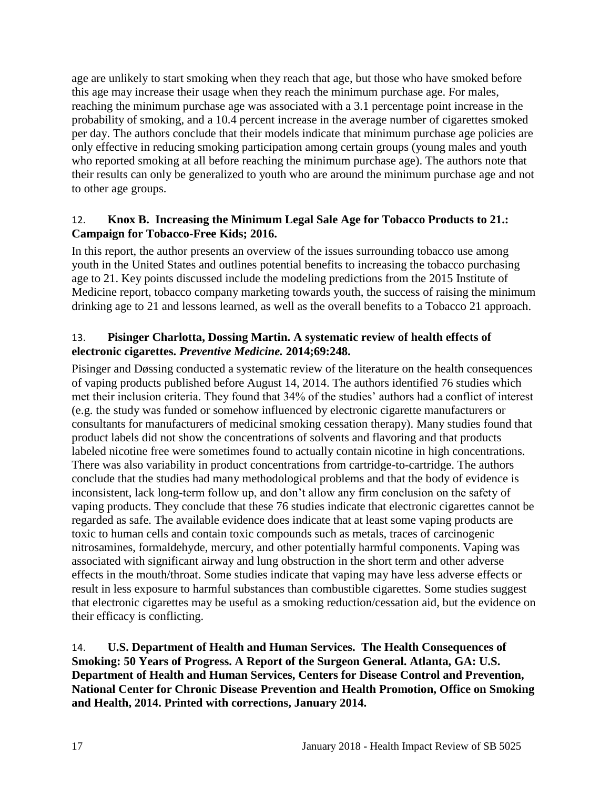age are unlikely to start smoking when they reach that age, but those who have smoked before this age may increase their usage when they reach the minimum purchase age. For males, reaching the minimum purchase age was associated with a 3.1 percentage point increase in the probability of smoking, and a 10.4 percent increase in the average number of cigarettes smoked per day. The authors conclude that their models indicate that minimum purchase age policies are only effective in reducing smoking participation among certain groups (young males and youth who reported smoking at all before reaching the minimum purchase age). The authors note that their results can only be generalized to youth who are around the minimum purchase age and not to other age groups.

# 12. **Knox B. Increasing the Minimum Legal Sale Age for Tobacco Products to 21.: Campaign for Tobacco-Free Kids; 2016.**

In this report, the author presents an overview of the issues surrounding tobacco use among youth in the United States and outlines potential benefits to increasing the tobacco purchasing age to 21. Key points discussed include the modeling predictions from the 2015 Institute of Medicine report, tobacco company marketing towards youth, the success of raising the minimum drinking age to 21 and lessons learned, as well as the overall benefits to a Tobacco 21 approach.

#### <span id="page-18-0"></span>13. **Pisinger Charlotta, Dossing Martin. A systematic review of health effects of electronic cigarettes.** *Preventive Medicine.* **2014;69:248.**

Pisinger and Døssing conducted a systematic review of the literature on the health consequences of vaping products published before August 14, 2014. The authors identified 76 studies which met their inclusion criteria. They found that 34% of the studies' authors had a conflict of interest (e.g. the study was funded or somehow influenced by electronic cigarette manufacturers or consultants for manufacturers of medicinal smoking cessation therapy). Many studies found that product labels did not show the concentrations of solvents and flavoring and that products labeled nicotine free were sometimes found to actually contain nicotine in high concentrations. There was also variability in product concentrations from cartridge-to-cartridge. The authors conclude that the studies had many methodological problems and that the body of evidence is inconsistent, lack long-term follow up, and don't allow any firm conclusion on the safety of vaping products. They conclude that these 76 studies indicate that electronic cigarettes cannot be regarded as safe. The available evidence does indicate that at least some vaping products are toxic to human cells and contain toxic compounds such as metals, traces of carcinogenic nitrosamines, formaldehyde, mercury, and other potentially harmful components. Vaping was associated with significant airway and lung obstruction in the short term and other adverse effects in the mouth/throat. Some studies indicate that vaping may have less adverse effects or result in less exposure to harmful substances than combustible cigarettes. Some studies suggest that electronic cigarettes may be useful as a smoking reduction/cessation aid, but the evidence on their efficacy is conflicting.

<span id="page-18-1"></span>14. **U.S. Department of Health and Human Services. The Health Consequences of Smoking: 50 Years of Progress. A Report of the Surgeon General. Atlanta, GA: U.S. Department of Health and Human Services, Centers for Disease Control and Prevention, National Center for Chronic Disease Prevention and Health Promotion, Office on Smoking and Health, 2014. Printed with corrections, January 2014.**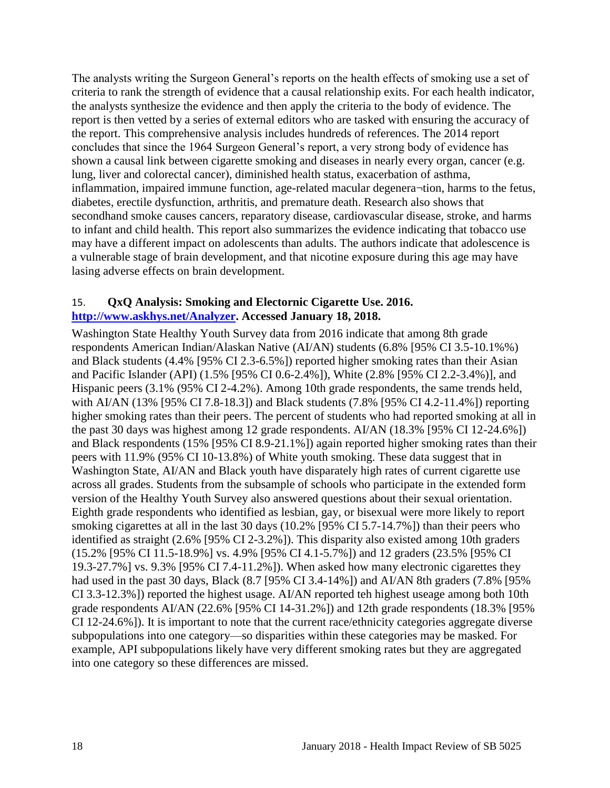The analysts writing the Surgeon General's reports on the health effects of smoking use a set of criteria to rank the strength of evidence that a causal relationship exits. For each health indicator, the analysts synthesize the evidence and then apply the criteria to the body of evidence. The report is then vetted by a series of external editors who are tasked with ensuring the accuracy of the report. This comprehensive analysis includes hundreds of references. The 2014 report concludes that since the 1964 Surgeon General's report, a very strong body of evidence has shown a causal link between cigarette smoking and diseases in nearly every organ, cancer (e.g. lung, liver and colorectal cancer), diminished health status, exacerbation of asthma, inflammation, impaired immune function, age-related macular degenera¬tion, harms to the fetus, diabetes, erectile dysfunction, arthritis, and premature death. Research also shows that secondhand smoke causes cancers, reparatory disease, cardiovascular disease, stroke, and harms to infant and child health. This report also summarizes the evidence indicating that tobacco use may have a different impact on adolescents than adults. The authors indicate that adolescence is a vulnerable stage of brain development, and that nicotine exposure during this age may have lasing adverse effects on brain development.

#### 15. **QxQ Analysis: Smoking and Electornic Cigarette Use. 2016. [http://www.askhys.net/Analyzer.](http://www.askhys.net/Analyzer) Accessed January 18, 2018.**

Washington State Healthy Youth Survey data from 2016 indicate that among 8th grade respondents American Indian/Alaskan Native (AI/AN) students (6.8% [95% CI 3.5-10.1%%) and Black students (4.4% [95% CI 2.3-6.5%]) reported higher smoking rates than their Asian and Pacific Islander (API) (1.5% [95% CI 0.6-2.4%]), White (2.8% [95% CI 2.2-3.4%)], and Hispanic peers (3.1% (95% CI 2-4.2%). Among 10th grade respondents, the same trends held, with AI/AN (13% [95% CI 7.8-18.3]) and Black students (7.8% [95% CI 4.2-11.4%]) reporting higher smoking rates than their peers. The percent of students who had reported smoking at all in the past 30 days was highest among 12 grade respondents. AI/AN (18.3% [95% CI 12-24.6%]) and Black respondents (15% [95% CI 8.9-21.1%]) again reported higher smoking rates than their peers with 11.9% (95% CI 10-13.8%) of White youth smoking. These data suggest that in Washington State, AI/AN and Black youth have disparately high rates of current cigarette use across all grades. Students from the subsample of schools who participate in the extended form version of the Healthy Youth Survey also answered questions about their sexual orientation. Eighth grade respondents who identified as lesbian, gay, or bisexual were more likely to report smoking cigarettes at all in the last 30 days (10.2% [95% CI 5.7-14.7%]) than their peers who identified as straight (2.6% [95% CI 2-3.2%]). This disparity also existed among 10th graders (15.2% [95% CI 11.5-18.9%] vs. 4.9% [95% CI 4.1-5.7%]) and 12 graders (23.5% [95% CI 19.3-27.7%] vs. 9.3% [95% CI 7.4-11.2%]). When asked how many electronic cigarettes they had used in the past 30 days, Black (8.7 [95% CI 3.4-14%]) and AI/AN 8th graders (7.8% [95% CI 3.3-12.3%]) reported the highest usage. AI/AN reported teh highest useage among both 10th grade respondents AI/AN (22.6% [95% CI 14-31.2%]) and 12th grade respondents (18.3% [95% CI 12-24.6%]). It is important to note that the current race/ethnicity categories aggregate diverse subpopulations into one category—so disparities within these categories may be masked. For example, API subpopulations likely have very different smoking rates but they are aggregated into one category so these differences are missed.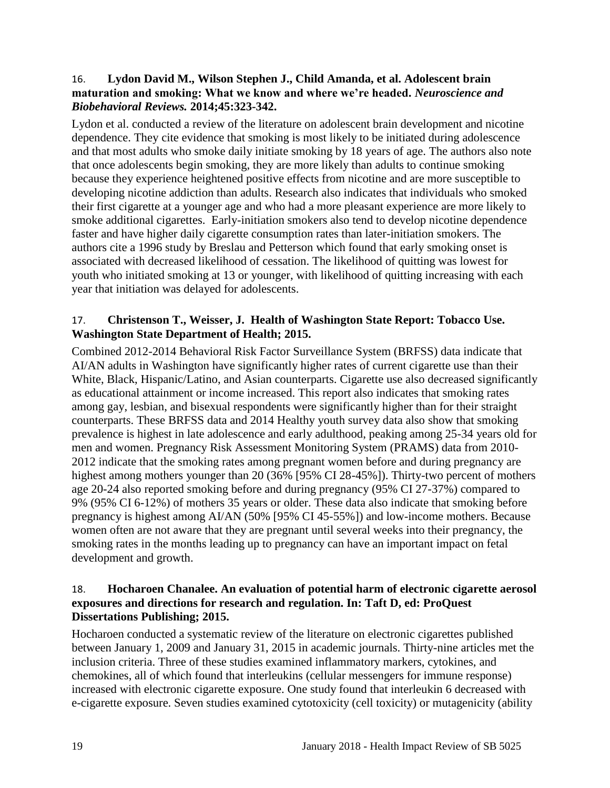#### 16. **Lydon David M., Wilson Stephen J., Child Amanda, et al. Adolescent brain maturation and smoking: What we know and where we're headed.** *Neuroscience and Biobehavioral Reviews.* **2014;45:323-342.**

Lydon et al. conducted a review of the literature on adolescent brain development and nicotine dependence. They cite evidence that smoking is most likely to be initiated during adolescence and that most adults who smoke daily initiate smoking by 18 years of age. The authors also note that once adolescents begin smoking, they are more likely than adults to continue smoking because they experience heightened positive effects from nicotine and are more susceptible to developing nicotine addiction than adults. Research also indicates that individuals who smoked their first cigarette at a younger age and who had a more pleasant experience are more likely to smoke additional cigarettes. Early-initiation smokers also tend to develop nicotine dependence faster and have higher daily cigarette consumption rates than later-initiation smokers. The authors cite a 1996 study by Breslau and Petterson which found that early smoking onset is associated with decreased likelihood of cessation. The likelihood of quitting was lowest for youth who initiated smoking at 13 or younger, with likelihood of quitting increasing with each year that initiation was delayed for adolescents.

#### 17. **Christenson T., Weisser, J. Health of Washington State Report: Tobacco Use. Washington State Department of Health; 2015.**

Combined 2012-2014 Behavioral Risk Factor Surveillance System (BRFSS) data indicate that AI/AN adults in Washington have significantly higher rates of current cigarette use than their White, Black, Hispanic/Latino, and Asian counterparts. Cigarette use also decreased significantly as educational attainment or income increased. This report also indicates that smoking rates among gay, lesbian, and bisexual respondents were significantly higher than for their straight counterparts. These BRFSS data and 2014 Healthy youth survey data also show that smoking prevalence is highest in late adolescence and early adulthood, peaking among 25-34 years old for men and women. Pregnancy Risk Assessment Monitoring System (PRAMS) data from 2010- 2012 indicate that the smoking rates among pregnant women before and during pregnancy are highest among mothers younger than 20 (36% [95% CI 28-45%]). Thirty-two percent of mothers age 20-24 also reported smoking before and during pregnancy (95% CI 27-37%) compared to 9% (95% CI 6-12%) of mothers 35 years or older. These data also indicate that smoking before pregnancy is highest among AI/AN (50% [95% CI 45-55%]) and low-income mothers. Because women often are not aware that they are pregnant until several weeks into their pregnancy, the smoking rates in the months leading up to pregnancy can have an important impact on fetal development and growth.

#### <span id="page-20-0"></span>18. **Hocharoen Chanalee. An evaluation of potential harm of electronic cigarette aerosol exposures and directions for research and regulation. In: Taft D, ed: ProQuest Dissertations Publishing; 2015.**

Hocharoen conducted a systematic review of the literature on electronic cigarettes published between January 1, 2009 and January 31, 2015 in academic journals. Thirty-nine articles met the inclusion criteria. Three of these studies examined inflammatory markers, cytokines, and chemokines, all of which found that interleukins (cellular messengers for immune response) increased with electronic cigarette exposure. One study found that interleukin 6 decreased with e-cigarette exposure. Seven studies examined cytotoxicity (cell toxicity) or mutagenicity (ability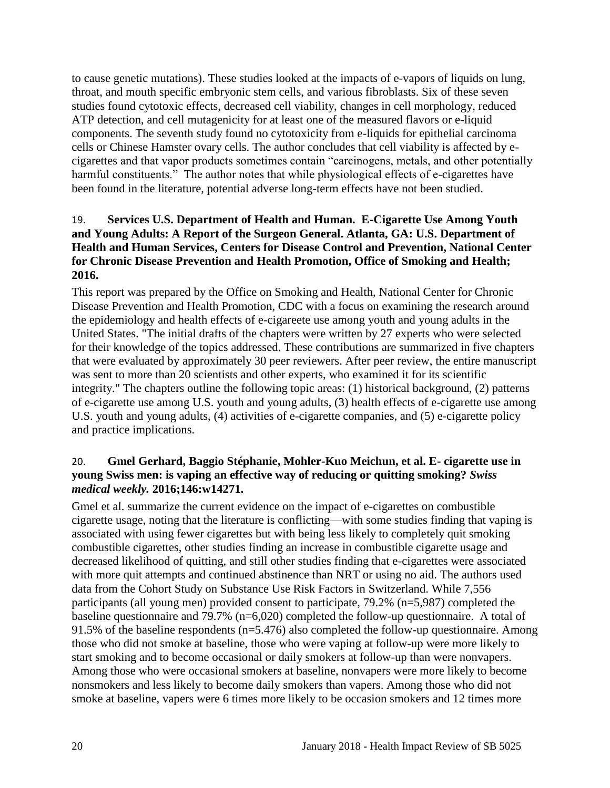to cause genetic mutations). These studies looked at the impacts of e-vapors of liquids on lung, throat, and mouth specific embryonic stem cells, and various fibroblasts. Six of these seven studies found cytotoxic effects, decreased cell viability, changes in cell morphology, reduced ATP detection, and cell mutagenicity for at least one of the measured flavors or e-liquid components. The seventh study found no cytotoxicity from e-liquids for epithelial carcinoma cells or Chinese Hamster ovary cells. The author concludes that cell viability is affected by ecigarettes and that vapor products sometimes contain "carcinogens, metals, and other potentially harmful constituents." The author notes that while physiological effects of e-cigarettes have been found in the literature, potential adverse long-term effects have not been studied.

#### 19. **Services U.S. Department of Health and Human. E-Cigarette Use Among Youth and Young Adults: A Report of the Surgeon General. Atlanta, GA: U.S. Department of Health and Human Services, Centers for Disease Control and Prevention, National Center for Chronic Disease Prevention and Health Promotion, Office of Smoking and Health; 2016.**

This report was prepared by the Office on Smoking and Health, National Center for Chronic Disease Prevention and Health Promotion, CDC with a focus on examining the research around the epidemiology and health effects of e-cigareete use among youth and young adults in the United States. "The initial drafts of the chapters were written by 27 experts who were selected for their knowledge of the topics addressed. These contributions are summarized in five chapters that were evaluated by approximately 30 peer reviewers. After peer review, the entire manuscript was sent to more than 20 scientists and other experts, who examined it for its scientific integrity." The chapters outline the following topic areas: (1) historical background, (2) patterns of e-cigarette use among U.S. youth and young adults, (3) health effects of e-cigarette use among U.S. youth and young adults, (4) activities of e-cigarette companies, and (5) e-cigarette policy and practice implications.

# 20. **Gmel Gerhard, Baggio Stéphanie, Mohler-Kuo Meichun, et al. E- cigarette use in young Swiss men: is vaping an effective way of reducing or quitting smoking?** *Swiss medical weekly.* **2016;146:w14271.**

Gmel et al. summarize the current evidence on the impact of e-cigarettes on combustible cigarette usage, noting that the literature is conflicting—with some studies finding that vaping is associated with using fewer cigarettes but with being less likely to completely quit smoking combustible cigarettes, other studies finding an increase in combustible cigarette usage and decreased likelihood of quitting, and still other studies finding that e-cigarettes were associated with more quit attempts and continued abstinence than NRT or using no aid. The authors used data from the Cohort Study on Substance Use Risk Factors in Switzerland. While 7,556 participants (all young men) provided consent to participate, 79.2% (n=5,987) completed the baseline questionnaire and 79.7% (n=6,020) completed the follow-up questionnaire. A total of 91.5% of the baseline respondents ( $n=5.476$ ) also completed the follow-up questionnaire. Among those who did not smoke at baseline, those who were vaping at follow-up were more likely to start smoking and to become occasional or daily smokers at follow-up than were nonvapers. Among those who were occasional smokers at baseline, nonvapers were more likely to become nonsmokers and less likely to become daily smokers than vapers. Among those who did not smoke at baseline, vapers were 6 times more likely to be occasion smokers and 12 times more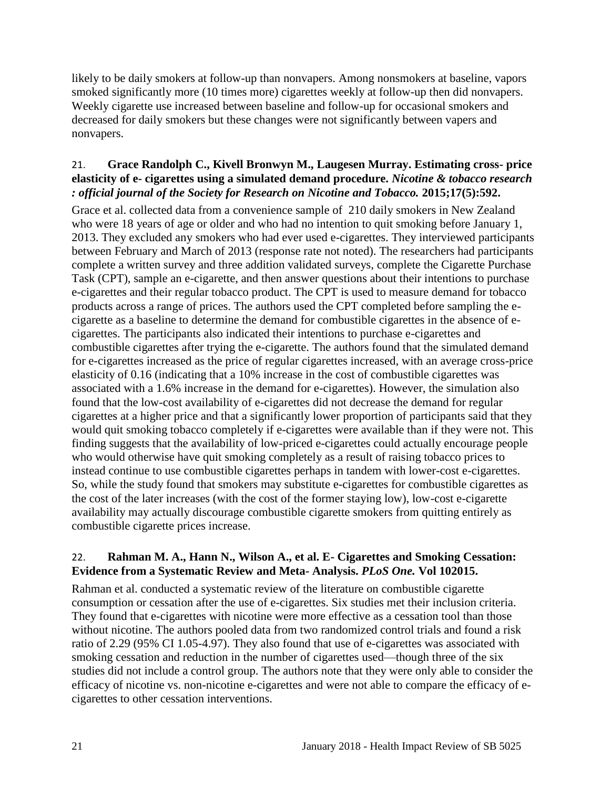likely to be daily smokers at follow-up than nonvapers. Among nonsmokers at baseline, vapors smoked significantly more (10 times more) cigarettes weekly at follow-up then did nonvapers. Weekly cigarette use increased between baseline and follow-up for occasional smokers and decreased for daily smokers but these changes were not significantly between vapers and nonvapers.

# 21. **Grace Randolph C., Kivell Bronwyn M., Laugesen Murray. Estimating cross- price elasticity of e- cigarettes using a simulated demand procedure.** *Nicotine & tobacco research : official journal of the Society for Research on Nicotine and Tobacco.* **2015;17(5):592.**

Grace et al. collected data from a convenience sample of 210 daily smokers in New Zealand who were 18 years of age or older and who had no intention to quit smoking before January 1, 2013. They excluded any smokers who had ever used e-cigarettes. They interviewed participants between February and March of 2013 (response rate not noted). The researchers had participants complete a written survey and three addition validated surveys, complete the Cigarette Purchase Task (CPT), sample an e-cigarette, and then answer questions about their intentions to purchase e-cigarettes and their regular tobacco product. The CPT is used to measure demand for tobacco products across a range of prices. The authors used the CPT completed before sampling the ecigarette as a baseline to determine the demand for combustible cigarettes in the absence of ecigarettes. The participants also indicated their intentions to purchase e-cigarettes and combustible cigarettes after trying the e-cigarette. The authors found that the simulated demand for e-cigarettes increased as the price of regular cigarettes increased, with an average cross-price elasticity of 0.16 (indicating that a 10% increase in the cost of combustible cigarettes was associated with a 1.6% increase in the demand for e-cigarettes). However, the simulation also found that the low-cost availability of e-cigarettes did not decrease the demand for regular cigarettes at a higher price and that a significantly lower proportion of participants said that they would quit smoking tobacco completely if e-cigarettes were available than if they were not. This finding suggests that the availability of low-priced e-cigarettes could actually encourage people who would otherwise have quit smoking completely as a result of raising tobacco prices to instead continue to use combustible cigarettes perhaps in tandem with lower-cost e-cigarettes. So, while the study found that smokers may substitute e-cigarettes for combustible cigarettes as the cost of the later increases (with the cost of the former staying low), low-cost e-cigarette availability may actually discourage combustible cigarette smokers from quitting entirely as combustible cigarette prices increase.

# 22. **Rahman M. A., Hann N., Wilson A., et al. E- Cigarettes and Smoking Cessation: Evidence from a Systematic Review and Meta- Analysis.** *PLoS One.* **Vol 102015.**

Rahman et al. conducted a systematic review of the literature on combustible cigarette consumption or cessation after the use of e-cigarettes. Six studies met their inclusion criteria. They found that e-cigarettes with nicotine were more effective as a cessation tool than those without nicotine. The authors pooled data from two randomized control trials and found a risk ratio of 2.29 (95% CI 1.05-4.97). They also found that use of e-cigarettes was associated with smoking cessation and reduction in the number of cigarettes used—though three of the six studies did not include a control group. The authors note that they were only able to consider the efficacy of nicotine vs. non-nicotine e-cigarettes and were not able to compare the efficacy of ecigarettes to other cessation interventions.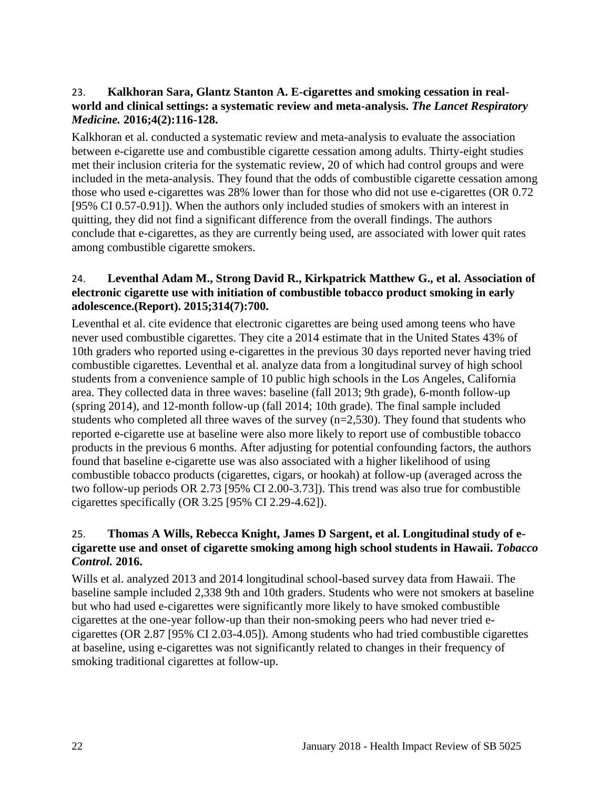#### 23. **Kalkhoran Sara, Glantz Stanton A. E-cigarettes and smoking cessation in realworld and clinical settings: a systematic review and meta-analysis.** *The Lancet Respiratory Medicine.* **2016;4(2):116-128.**

Kalkhoran et al. conducted a systematic review and meta-analysis to evaluate the association between e-cigarette use and combustible cigarette cessation among adults. Thirty-eight studies met their inclusion criteria for the systematic review, 20 of which had control groups and were included in the meta-analysis. They found that the odds of combustible cigarette cessation among those who used e-cigarettes was 28% lower than for those who did not use e-cigarettes (OR 0.72 [95% CI 0.57-0.91]). When the authors only included studies of smokers with an interest in quitting, they did not find a significant difference from the overall findings. The authors conclude that e-cigarettes, as they are currently being used, are associated with lower quit rates among combustible cigarette smokers.

# <span id="page-23-0"></span>24. **Leventhal Adam M., Strong David R., Kirkpatrick Matthew G., et al. Association of electronic cigarette use with initiation of combustible tobacco product smoking in early adolescence.(Report). 2015;314(7):700.**

Leventhal et al. cite evidence that electronic cigarettes are being used among teens who have never used combustible cigarettes. They cite a 2014 estimate that in the United States 43% of 10th graders who reported using e-cigarettes in the previous 30 days reported never having tried combustible cigarettes. Leventhal et al. analyze data from a longitudinal survey of high school students from a convenience sample of 10 public high schools in the Los Angeles, California area. They collected data in three waves: baseline (fall 2013; 9th grade), 6-month follow-up (spring 2014), and 12-month follow-up (fall 2014; 10th grade). The final sample included students who completed all three waves of the survey (n=2,530). They found that students who reported e-cigarette use at baseline were also more likely to report use of combustible tobacco products in the previous 6 months. After adjusting for potential confounding factors, the authors found that baseline e-cigarette use was also associated with a higher likelihood of using combustible tobacco products (cigarettes, cigars, or hookah) at follow-up (averaged across the two follow-up periods OR 2.73 [95% CI 2.00-3.73]). This trend was also true for combustible cigarettes specifically (OR 3.25 [95% CI 2.29-4.62]).

# <span id="page-23-1"></span>25. **Thomas A Wills, Rebecca Knight, James D Sargent, et al. Longitudinal study of ecigarette use and onset of cigarette smoking among high school students in Hawaii.** *Tobacco Control.* **2016.**

Wills et al. analyzed 2013 and 2014 longitudinal school-based survey data from Hawaii. The baseline sample included 2,338 9th and 10th graders. Students who were not smokers at baseline but who had used e-cigarettes were significantly more likely to have smoked combustible cigarettes at the one-year follow-up than their non-smoking peers who had never tried ecigarettes (OR 2.87 [95% CI 2.03-4.05]). Among students who had tried combustible cigarettes at baseline, using e-cigarettes was not significantly related to changes in their frequency of smoking traditional cigarettes at follow-up.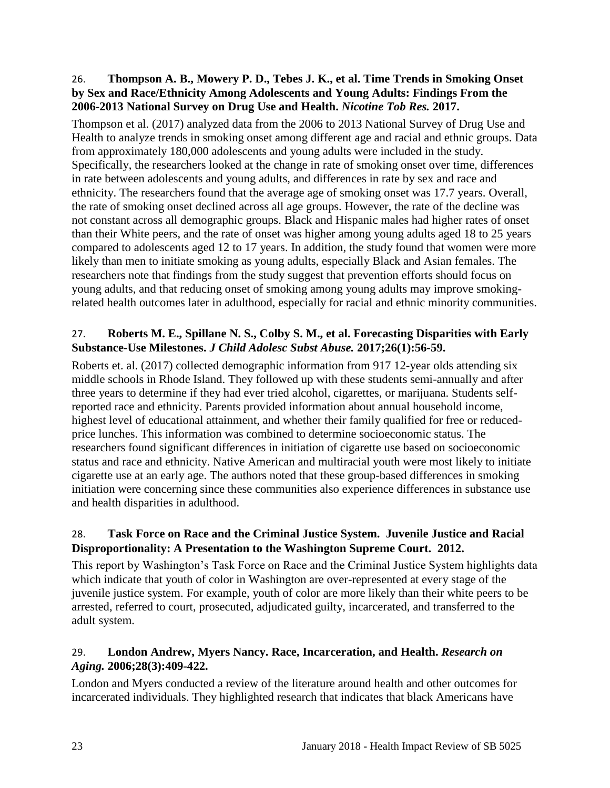#### 26. **Thompson A. B., Mowery P. D., Tebes J. K., et al. Time Trends in Smoking Onset by Sex and Race/Ethnicity Among Adolescents and Young Adults: Findings From the 2006-2013 National Survey on Drug Use and Health.** *Nicotine Tob Res.* **2017.**

Thompson et al. (2017) analyzed data from the 2006 to 2013 National Survey of Drug Use and Health to analyze trends in smoking onset among different age and racial and ethnic groups. Data from approximately 180,000 adolescents and young adults were included in the study. Specifically, the researchers looked at the change in rate of smoking onset over time, differences in rate between adolescents and young adults, and differences in rate by sex and race and ethnicity. The researchers found that the average age of smoking onset was 17.7 years. Overall, the rate of smoking onset declined across all age groups. However, the rate of the decline was not constant across all demographic groups. Black and Hispanic males had higher rates of onset than their White peers, and the rate of onset was higher among young adults aged 18 to 25 years compared to adolescents aged 12 to 17 years. In addition, the study found that women were more likely than men to initiate smoking as young adults, especially Black and Asian females. The researchers note that findings from the study suggest that prevention efforts should focus on young adults, and that reducing onset of smoking among young adults may improve smokingrelated health outcomes later in adulthood, especially for racial and ethnic minority communities.

# 27. **Roberts M. E., Spillane N. S., Colby S. M., et al. Forecasting Disparities with Early Substance-Use Milestones.** *J Child Adolesc Subst Abuse.* **2017;26(1):56-59.**

Roberts et. al. (2017) collected demographic information from 917 12-year olds attending six middle schools in Rhode Island. They followed up with these students semi-annually and after three years to determine if they had ever tried alcohol, cigarettes, or marijuana. Students selfreported race and ethnicity. Parents provided information about annual household income, highest level of educational attainment, and whether their family qualified for free or reducedprice lunches. This information was combined to determine socioeconomic status. The researchers found significant differences in initiation of cigarette use based on socioeconomic status and race and ethnicity. Native American and multiracial youth were most likely to initiate cigarette use at an early age. The authors noted that these group-based differences in smoking initiation were concerning since these communities also experience differences in substance use and health disparities in adulthood.

#### 28. **Task Force on Race and the Criminal Justice System. Juvenile Justice and Racial Disproportionality: A Presentation to the Washington Supreme Court. 2012.**

This report by Washington's Task Force on Race and the Criminal Justice System highlights data which indicate that youth of color in Washington are over-represented at every stage of the juvenile justice system. For example, youth of color are more likely than their white peers to be arrested, referred to court, prosecuted, adjudicated guilty, incarcerated, and transferred to the adult system.

# 29. **London Andrew, Myers Nancy. Race, Incarceration, and Health.** *Research on Aging.* **2006;28(3):409-422.**

London and Myers conducted a review of the literature around health and other outcomes for incarcerated individuals. They highlighted research that indicates that black Americans have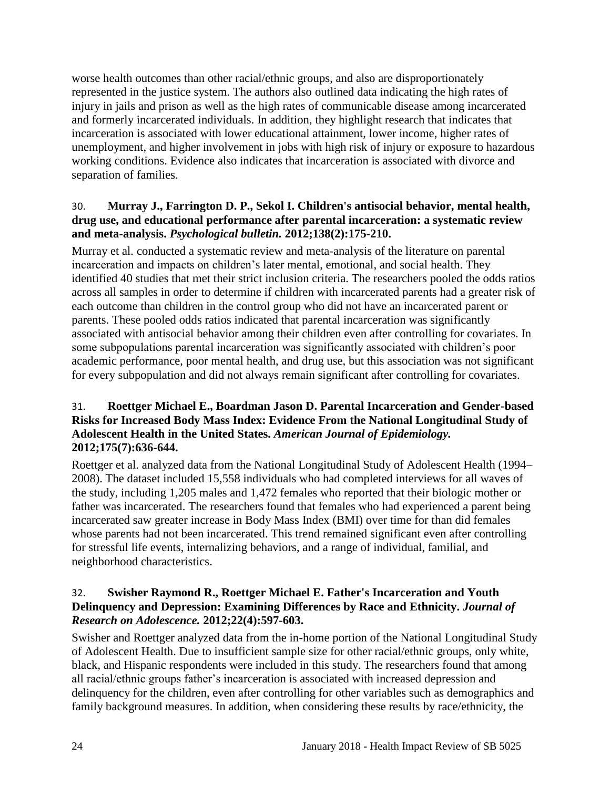worse health outcomes than other racial/ethnic groups, and also are disproportionately represented in the justice system. The authors also outlined data indicating the high rates of injury in jails and prison as well as the high rates of communicable disease among incarcerated and formerly incarcerated individuals. In addition, they highlight research that indicates that incarceration is associated with lower educational attainment, lower income, higher rates of unemployment, and higher involvement in jobs with high risk of injury or exposure to hazardous working conditions. Evidence also indicates that incarceration is associated with divorce and separation of families.

# 30. **Murray J., Farrington D. P., Sekol I. Children's antisocial behavior, mental health, drug use, and educational performance after parental incarceration: a systematic review and meta-analysis.** *Psychological bulletin.* **2012;138(2):175-210.**

Murray et al. conducted a systematic review and meta-analysis of the literature on parental incarceration and impacts on children's later mental, emotional, and social health. They identified 40 studies that met their strict inclusion criteria. The researchers pooled the odds ratios across all samples in order to determine if children with incarcerated parents had a greater risk of each outcome than children in the control group who did not have an incarcerated parent or parents. These pooled odds ratios indicated that parental incarceration was significantly associated with antisocial behavior among their children even after controlling for covariates. In some subpopulations parental incarceration was significantly associated with children's poor academic performance, poor mental health, and drug use, but this association was not significant for every subpopulation and did not always remain significant after controlling for covariates.

# 31. **Roettger Michael E., Boardman Jason D. Parental Incarceration and Gender-based Risks for Increased Body Mass Index: Evidence From the National Longitudinal Study of Adolescent Health in the United States.** *American Journal of Epidemiology.*  **2012;175(7):636-644.**

Roettger et al. analyzed data from the National Longitudinal Study of Adolescent Health (1994– 2008). The dataset included 15,558 individuals who had completed interviews for all waves of the study, including 1,205 males and 1,472 females who reported that their biologic mother or father was incarcerated. The researchers found that females who had experienced a parent being incarcerated saw greater increase in Body Mass Index (BMI) over time for than did females whose parents had not been incarcerated. This trend remained significant even after controlling for stressful life events, internalizing behaviors, and a range of individual, familial, and neighborhood characteristics.

# 32. **Swisher Raymond R., Roettger Michael E. Father's Incarceration and Youth Delinquency and Depression: Examining Differences by Race and Ethnicity.** *Journal of Research on Adolescence.* **2012;22(4):597-603.**

Swisher and Roettger analyzed data from the in-home portion of the National Longitudinal Study of Adolescent Health. Due to insufficient sample size for other racial/ethnic groups, only white, black, and Hispanic respondents were included in this study. The researchers found that among all racial/ethnic groups father's incarceration is associated with increased depression and delinquency for the children, even after controlling for other variables such as demographics and family background measures. In addition, when considering these results by race/ethnicity, the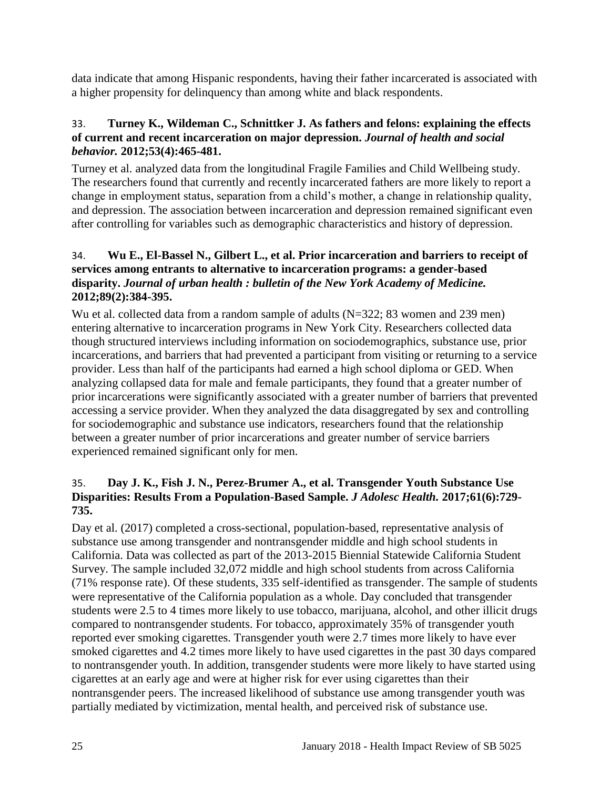data indicate that among Hispanic respondents, having their father incarcerated is associated with a higher propensity for delinquency than among white and black respondents.

## 33. **Turney K., Wildeman C., Schnittker J. As fathers and felons: explaining the effects of current and recent incarceration on major depression.** *Journal of health and social behavior.* **2012;53(4):465-481.**

Turney et al. analyzed data from the longitudinal Fragile Families and Child Wellbeing study. The researchers found that currently and recently incarcerated fathers are more likely to report a change in employment status, separation from a child's mother, a change in relationship quality, and depression. The association between incarceration and depression remained significant even after controlling for variables such as demographic characteristics and history of depression.

# 34. **Wu E., El-Bassel N., Gilbert L., et al. Prior incarceration and barriers to receipt of services among entrants to alternative to incarceration programs: a gender-based disparity.** *Journal of urban health : bulletin of the New York Academy of Medicine.*  **2012;89(2):384-395.**

Wu et al. collected data from a random sample of adults (N=322; 83 women and 239 men) entering alternative to incarceration programs in New York City. Researchers collected data though structured interviews including information on sociodemographics, substance use, prior incarcerations, and barriers that had prevented a participant from visiting or returning to a service provider. Less than half of the participants had earned a high school diploma or GED. When analyzing collapsed data for male and female participants, they found that a greater number of prior incarcerations were significantly associated with a greater number of barriers that prevented accessing a service provider. When they analyzed the data disaggregated by sex and controlling for sociodemographic and substance use indicators, researchers found that the relationship between a greater number of prior incarcerations and greater number of service barriers experienced remained significant only for men.

# 35. **Day J. K., Fish J. N., Perez-Brumer A., et al. Transgender Youth Substance Use Disparities: Results From a Population-Based Sample.** *J Adolesc Health.* **2017;61(6):729- 735.**

Day et al. (2017) completed a cross-sectional, population-based, representative analysis of substance use among transgender and nontransgender middle and high school students in California. Data was collected as part of the 2013-2015 Biennial Statewide California Student Survey. The sample included 32,072 middle and high school students from across California (71% response rate). Of these students, 335 self-identified as transgender. The sample of students were representative of the California population as a whole. Day concluded that transgender students were 2.5 to 4 times more likely to use tobacco, marijuana, alcohol, and other illicit drugs compared to nontransgender students. For tobacco, approximately 35% of transgender youth reported ever smoking cigarettes. Transgender youth were 2.7 times more likely to have ever smoked cigarettes and 4.2 times more likely to have used cigarettes in the past 30 days compared to nontransgender youth. In addition, transgender students were more likely to have started using cigarettes at an early age and were at higher risk for ever using cigarettes than their nontransgender peers. The increased likelihood of substance use among transgender youth was partially mediated by victimization, mental health, and perceived risk of substance use.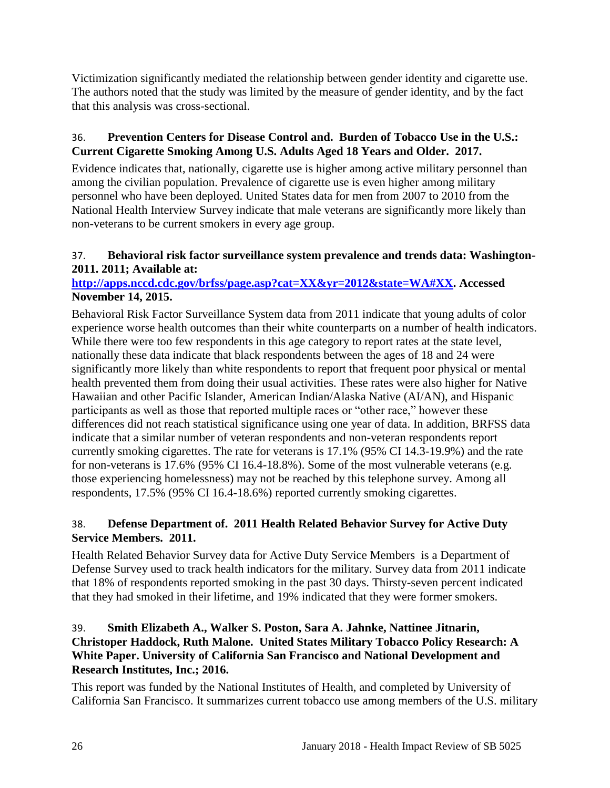Victimization significantly mediated the relationship between gender identity and cigarette use. The authors noted that the study was limited by the measure of gender identity, and by the fact that this analysis was cross-sectional.

# 36. **Prevention Centers for Disease Control and. Burden of Tobacco Use in the U.S.: Current Cigarette Smoking Among U.S. Adults Aged 18 Years and Older. 2017.**

Evidence indicates that, nationally, cigarette use is higher among active military personnel than among the civilian population. Prevalence of cigarette use is even higher among military personnel who have been deployed. United States data for men from 2007 to 2010 from the National Health Interview Survey indicate that male veterans are significantly more likely than non-veterans to be current smokers in every age group.

# <span id="page-27-0"></span>37. **Behavioral risk factor surveillance system prevalence and trends data: Washington-2011. 2011; Available at:**

# **[http://apps.nccd.cdc.gov/brfss/page.asp?cat=XX&yr=2012&state=WA#XX.](http://apps.nccd.cdc.gov/brfss/page.asp?cat=XX&yr=2012&state=WA#XX) Accessed November 14, 2015.**

Behavioral Risk Factor Surveillance System data from 2011 indicate that young adults of color experience worse health outcomes than their white counterparts on a number of health indicators. While there were too few respondents in this age category to report rates at the state level, nationally these data indicate that black respondents between the ages of 18 and 24 were significantly more likely than white respondents to report that frequent poor physical or mental health prevented them from doing their usual activities. These rates were also higher for Native Hawaiian and other Pacific Islander, American Indian/Alaska Native (AI/AN), and Hispanic participants as well as those that reported multiple races or "other race," however these differences did not reach statistical significance using one year of data. In addition, BRFSS data indicate that a similar number of veteran respondents and non-veteran respondents report currently smoking cigarettes. The rate for veterans is 17.1% (95% CI 14.3-19.9%) and the rate for non-veterans is 17.6% (95% CI 16.4-18.8%). Some of the most vulnerable veterans (e.g. those experiencing homelessness) may not be reached by this telephone survey. Among all respondents, 17.5% (95% CI 16.4-18.6%) reported currently smoking cigarettes.

# <span id="page-27-1"></span>38. **Defense Department of. 2011 Health Related Behavior Survey for Active Duty Service Members. 2011.**

Health Related Behavior Survey data for Active Duty Service Members is a Department of Defense Survey used to track health indicators for the military. Survey data from 2011 indicate that 18% of respondents reported smoking in the past 30 days. Thirsty-seven percent indicated that they had smoked in their lifetime, and 19% indicated that they were former smokers.

# 39. **Smith Elizabeth A., Walker S. Poston, Sara A. Jahnke, Nattinee Jitnarin, Christoper Haddock, Ruth Malone. United States Military Tobacco Policy Research: A White Paper. University of California San Francisco and National Development and Research Institutes, Inc.; 2016.**

This report was funded by the National Institutes of Health, and completed by University of California San Francisco. It summarizes current tobacco use among members of the U.S. military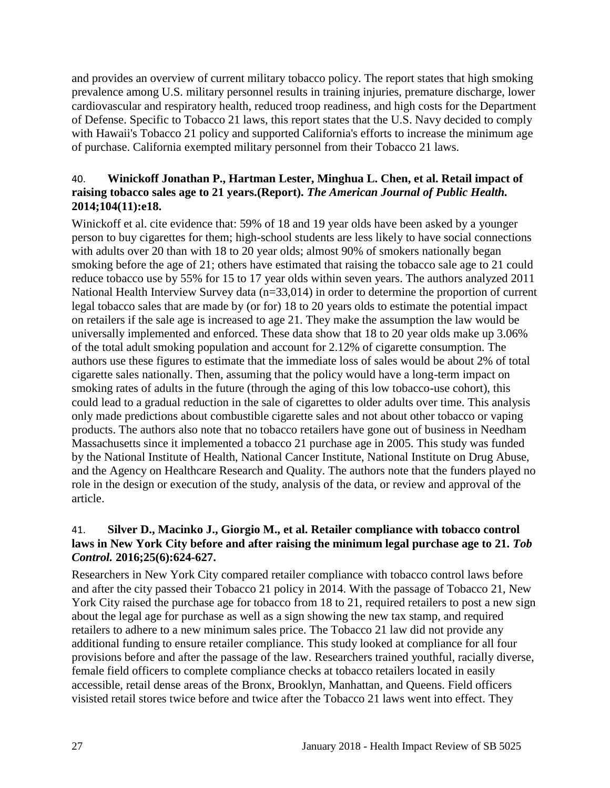and provides an overview of current military tobacco policy. The report states that high smoking prevalence among U.S. military personnel results in training injuries, premature discharge, lower cardiovascular and respiratory health, reduced troop readiness, and high costs for the Department of Defense. Specific to Tobacco 21 laws, this report states that the U.S. Navy decided to comply with Hawaii's Tobacco 21 policy and supported California's efforts to increase the minimum age of purchase. California exempted military personnel from their Tobacco 21 laws.

## 40. **Winickoff Jonathan P., Hartman Lester, Minghua L. Chen, et al. Retail impact of raising tobacco sales age to 21 years.(Report).** *The American Journal of Public Health.*  **2014;104(11):e18.**

Winickoff et al. cite evidence that: 59% of 18 and 19 year olds have been asked by a younger person to buy cigarettes for them; high-school students are less likely to have social connections with adults over 20 than with 18 to 20 year olds; almost 90% of smokers nationally began smoking before the age of 21; others have estimated that raising the tobacco sale age to 21 could reduce tobacco use by 55% for 15 to 17 year olds within seven years. The authors analyzed 2011 National Health Interview Survey data (n=33,014) in order to determine the proportion of current legal tobacco sales that are made by (or for) 18 to 20 years olds to estimate the potential impact on retailers if the sale age is increased to age 21. They make the assumption the law would be universally implemented and enforced. These data show that 18 to 20 year olds make up 3.06% of the total adult smoking population and account for 2.12% of cigarette consumption. The authors use these figures to estimate that the immediate loss of sales would be about 2% of total cigarette sales nationally. Then, assuming that the policy would have a long-term impact on smoking rates of adults in the future (through the aging of this low tobacco-use cohort), this could lead to a gradual reduction in the sale of cigarettes to older adults over time. This analysis only made predictions about combustible cigarette sales and not about other tobacco or vaping products. The authors also note that no tobacco retailers have gone out of business in Needham Massachusetts since it implemented a tobacco 21 purchase age in 2005. This study was funded by the National Institute of Health, National Cancer Institute, National Institute on Drug Abuse, and the Agency on Healthcare Research and Quality. The authors note that the funders played no role in the design or execution of the study, analysis of the data, or review and approval of the article.

#### 41. **Silver D., Macinko J., Giorgio M., et al. Retailer compliance with tobacco control**  laws in New York City before and after raising the minimum legal purchase age to 21. Tob *Control.* **2016;25(6):624-627.**

Researchers in New York City compared retailer compliance with tobacco control laws before and after the city passed their Tobacco 21 policy in 2014. With the passage of Tobacco 21, New York City raised the purchase age for tobacco from 18 to 21, required retailers to post a new sign about the legal age for purchase as well as a sign showing the new tax stamp, and required retailers to adhere to a new minimum sales price. The Tobacco 21 law did not provide any additional funding to ensure retailer compliance. This study looked at compliance for all four provisions before and after the passage of the law. Researchers trained youthful, racially diverse, female field officers to complete compliance checks at tobacco retailers located in easily accessible, retail dense areas of the Bronx, Brooklyn, Manhattan, and Queens. Field officers visisted retail stores twice before and twice after the Tobacco 21 laws went into effect. They